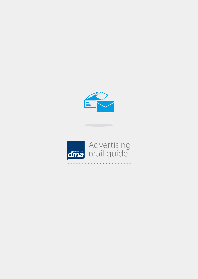

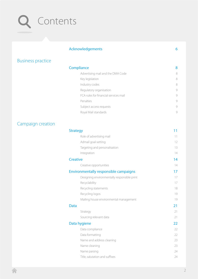# Contents

## [Acknowledgements](#page-5-0) 6

## [Business practice](#page-6-0)

## **[Compliance](#page-7-0)** 8

| Advertising mail and the DMA Code     | 8 |
|---------------------------------------|---|
| Key legislation                       | 8 |
| Industry codes                        | 8 |
| Regulatory organisation               | g |
| FCA rules for financial services mail | g |
| Penalties                             | g |
| Subject access requests               | g |
| Royal Mail standards                  | g |
|                                       |   |

## [Campaign creation](#page-9-0)

| <b>Strategy</b>                             |    |
|---------------------------------------------|----|
| Role of advertising mail                    | 11 |
| Admail goal-setting                         | 12 |
| Targeting and personalisation               | 13 |
| Integration                                 | 14 |
| <b>Creative</b>                             | 14 |
| Creative opportunities                      | 14 |
| Environmentally responsible campaigns       | 17 |
| Designing environmentally responsible print | 17 |
| Recyclability                               | 17 |
| Recycling statements                        | 18 |
| Recycling logos                             | 19 |
| Mailing house environmental management      | 19 |
| <b>Data</b>                                 | 21 |
| Strategy                                    | 21 |
| Sourcing relevant data                      | 21 |
| Data hygiene                                | 22 |
| Data compliance                             | 22 |
| Data formatting                             | 22 |
| Name and address cleaning                   | 23 |
| Name cleaning                               | 23 |
| Name parsing                                | 24 |
| Title, salutation and suffixes              | 24 |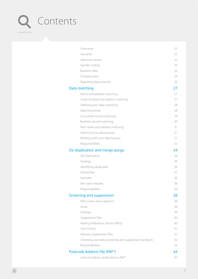# Q Contents

| Forename                                              | 25 |
|-------------------------------------------------------|----|
| Surname                                               | 25 |
| Salacious names                                       | 25 |
| Gender coding                                         | 25 |
| Business data                                         | 26 |
| Overseas data                                         | 26 |
| Reporting data amends                                 | 26 |
| Data matching                                         | 27 |
| Name and address matching                             | 27 |
| Goals of name and address matching                    | 27 |
| Defining your data matching                           | 28 |
| Matching levels                                       | 28 |
| Consumer record matching                              | 29 |
| Business record matching                              | 30 |
| Non-name and address matching                         | 31 |
| Selecting your data bureau                            | 31 |
| Working with your data bureau                         | 31 |
| Responsibilities                                      | 32 |
| De-duplication and merge-purge                        | 34 |
| De-duplication                                        | 34 |
| Strategy                                              | 34 |
| Identifying duplicates                                | 34 |
| Hierarchies                                           | 35 |
| Soundex                                               | 36 |
| Net name rebates                                      | 36 |
| Responsibilities                                      | 36 |
| Screening and suppression                             | 38 |
| Why screen and suppress?                              | 38 |
| Goals                                                 | 39 |
| Strategy                                              | 39 |
| Suppression files                                     | 40 |
| Mailing Preference Service (MPS)                      | 40 |
| Your Choice                                           | 41 |
| Industry suppression files                            | 41 |
| Choosing your data screening and suppression products | 42 |
| Responsibilities                                      | 43 |
| Postcode Address File (PAF <sup>®</sup> )             | 44 |
| Level of address verification to PAF®                 | 45 |
|                                                       |    |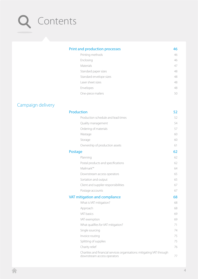# Contents

## [Print and production processes](#page-45-0) 46 [Printing methods](#page-45-0) 46 [Enclosing](#page-45-0) 46 [Materials](#page-46-0) 47 [Standard paper sizes](#page-47-0) 48 [Standard envelope sizes](#page-47-0) and the standard envelope sizes and the standard envelope sizes and the standard envelope sizes and the standard envelope sizes and the standard envelope sizes and the standard envelope sizes and th [Laser sheet sizes](#page-47-0) 48 [Envelopes](#page-47-0) 48

[One-piece mailers](#page-49-0) 50

## [Campaign delivery](#page-50-0)

[Production](#page-51-0)[Production schedule and lead times](#page-51-0)[Quality management](#page-53-0)[Ordering of materials](#page-56-0)[Wastage](#page-59-0) 60 [Storage](#page-59-0) 60 [Ownership of production assets](#page-60-0)[Postage](#page-61-0) 62 [Planning](#page-61-0) 62 [Postal products and specifications](#page-61-0)[Mailmark™](#page-63-0) 64 [Downstream access operators](#page-64-0)[Sortation and output](#page-64-0)[Client and supplier responsibilities](#page-66-0)[Postage accounts](#page-66-0)[VAT mitigation and compliance](#page-67-0)[What is VAT mitigation?](#page-67-0)[Approach](#page-67-0) 68 [VAT basics](#page-68-0)[VAT exemption](#page-68-0)[What qualifies for VAT mitigation?](#page-70-0)[Single sourcing](#page-73-0)[Invoice routing](#page-74-0)[Splitting of supplies](#page-74-0)[Charity relief](#page-75-0)[Charities and financial services organisations: mitigating VAT through](#page-76-0)  [downstream access operators](#page-76-0)  $\frac{3}{2}$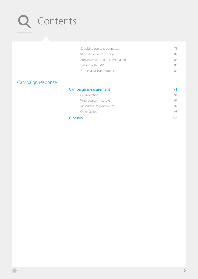# Q Contents

| Supplying overseas businesses    |     |
|----------------------------------|-----|
| VAT mitigation on postage        | 82. |
| Administration and documentation | 84  |
| Dealing with HMRC                | 86. |
| Further advice and support       |     |

## [Campaign response](#page-89-0)

| Campaign measurement   |    |
|------------------------|----|
| Considerations         |    |
| What you can measure   |    |
| Measurement mechanisms | 92 |
| Other factors          | 93 |
| Glossary               | ดค |

## [Glossary](#page-95-0)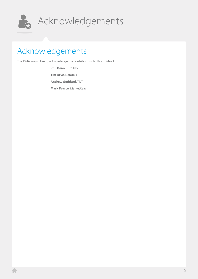<span id="page-5-0"></span>

# Acknowledgements

# Acknowledgements

The DMA would like to acknowledge the contributions to this guide of:

**Phil Dean**, Turn Key **Tim Drye**, DataTalk **Andrew Goddard**, TNT **Mark Pearce**, MarketReach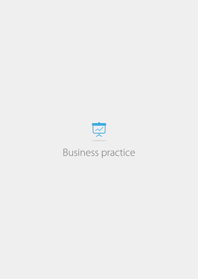<span id="page-6-0"></span>

# Business practice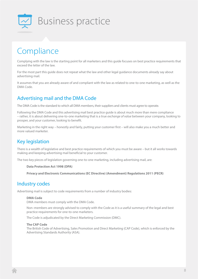<span id="page-7-0"></span>

## Compliance

Complying with the law is the starting point for all marketers and this guide focuses on best practice requirements that exceed the letter of the law.

For the most part this guide does not repeat what the law and other legal guidance documents already say about advertising mail.

It assumes that you are already aware of and compliant with the law as related to one-to-one marketing, as well as the DMA Code.

## Advertising mail and the DMA Code

The DMA Code is the standard to which all DMA members, their suppliers and clients must agree to operate.

Following the DMA Code and this advertising mail best practice guide is about much more than mere compliance – rather, it is about delivering one-to-one marketing that is a true *exchange of value* between your company, looking to prosper, and your customer, looking to benefit.

Marketing in the right way – honestly and fairly, putting your customer first – will also make you a much better and more valued marketer.

## Key legislation

There is a wealth of legislative and best practice requirements of which you must be aware – but it all works towards making and keeping advertising mail beneficial to your customer.

The two key pieces of legislation governing one-to-one marketing, including advertising mail, are:

#### **Data Protection Act 1998 (DPA)**

**Privacy and Electronic Communications (EC Directive) (Amendment) Regulations 2011 (PECR)**

## Industry codes

Advertising mail is subject to code requirements from a number of industry bodies:

#### **DMA Code**

DMA members must comply with the DMA Code.

Non–members are strongly advised to comply with the Code as it is a useful summary of the legal and best practice requirements for one-to-one marketers.

The Code is adjudicated by the Direct Marketing Commission (DMC).

#### **The CAP Code**

The British Code of Advertising, Sales Promotion and Direct Marketing (CAP Code), which is enforced by the Advertising Standards Authority (ASA).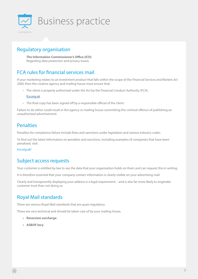<span id="page-8-0"></span>

## Regulatory organisation

**The Information Commissioner's Office (ICO)** Regarding data protection and privacy issues.

## FCA rules for financial services mail

If your marketing relates to an investment product that falls within the scope of the *Financial Services and Markets Act 2000*, then the creative agency and mailing house must ensure that:

• The client is properly authorised under the Act by the Financial Conduct Authority (FCA):

## [fca.org.uk](http://www.fca.org.uk)

• The final copy has been signed off by a responsible official of the client

Failure to do either could result in the agency or mailing house committing the criminal offence of publishing an unauthorised advertisement.

## **Penalties**

Penalties for compliance failure include fines and sanctions under legislation and various industry codes.

To find out the latest information on penalties and sanctions, including examples of companies that have been penalised, visit:

## ico.org.uk/

## Subject access requests

Your customer is entitled by law to see the data that your organisation holds on them and can request this in writing.

It is therefore essential that your company contact information is clearly visible on your advertising mail.

Clearly and transparently displaying your address is a legal requirement – and is also far more likely to engender customer trust than not doing so.

## Royal Mail standards

There are various Royal Mail standards that are quasi-regulatory.

These are very technical and should be taken care of by your mailing house.

- **• Reversion surcharge**
- **• ASBOF levy**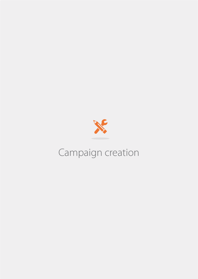<span id="page-9-0"></span>

# Campaign creation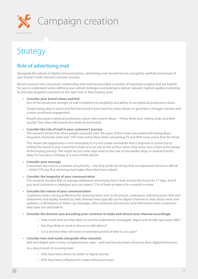<span id="page-10-0"></span>

## Strategy

## Role of advertising mail

Alongside the advent of digital communications, advertising mail should now be a targeted, carefully-timed part of your brand's multi-channel customer journey.

Recent research into consumers' relationship with mail has provided a number of important insights that are helpful for you to understand when defining your admail strategies and looking to deliver relevant, highest-quality marketing to precisely targeted customers at the right time in their buying cycle.

## **• Consider your brand values and feel**

Part of the emotional strength of mail is linked to its tangibility and ability to use physical production values.

Simply being able to touch and feel the brand in your hand has been shown to generate a stronger reaction and a more emotional engagement.

People also project physical production values onto brand values – if they think your mailing looks and feels 'quality' then they will assume the same of your brand.

## **• Consider the role of mail in your customer's journey**

The research shows that when people consume mail, the parts of their brain associated with laying down long-term memories were over 70% more active than when consuming TV and 40% more active than for email.

This means the opportunity is not necessarily to try and create immediate direct response or action but to embed the brand in your customer's head so it can rise to the surface when they move into a more active phase of the buying journey. This might be just a few days away in the case of the weekly shop, or several months away for insurance, holidays or a new mobile phone.

## **• Consider your message**

Consumers see mail as a medium of authority – one they prefer for things that are important, formal or official – whilst 57% say that receiving mail makes them feel more valued.

## **• Consider the longevity of your communication**

The research showed that on average addressed advertising mail is kept around the home for 17 days. And if you send customers a catalogue you can expect 71% of them to keep it for a month or more.

#### **• Consider the nature of your communication**

Customers state a strong preference for receiving items such as brochures, catalogues, welcome packs, bills and statements and loyalty rewards by mail; whereas they typically opt for digital channels to hear about news and updates, confirmations or follow-up messages, other products and services and information from companies they have not used before.

- **• Consider the decision you are asking your customer to make and choose your channel accordingly**
	- How much time are they likely to need to understand, investigate, digest and decide upon your offer?
		- Are they likely to need to discuss it with others?
		- Is it a decision they will need an extended period of time to act upon?

## **• Consider how mail works alongside other channels**

Mail and digital work in very complementary ways – and mail has also been shown to drive digital behaviours.

As a direct result of receiving mail:

- 92% have been driven to online or digital activity
- 87% have been influenced to make online purchases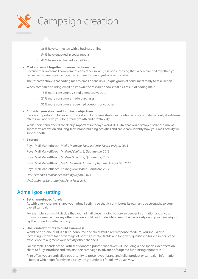<span id="page-11-0"></span>

- 86% have connected with a business online
- 54% have engaged in social media
- 43% have downloaded something

### **• Mail and email together increase performance**

Because mail and email complement each other so well, it is not surprising that, when planned together, you can expect to see significant gains compared to using just one or the other.

The research shows that adding mail to email opens up a unique group of consumers ready to take action.

When compared to using email on its own, the research shows that as a result of adding mail:

- 13% more consumers visited a senders website
- 21% more consumers made purchases
- 35% more consumers redeemed coupons or vouchers

#### **• Consider your short and long term objectives**

It is very important to balance both short and long-term strategies. Continued efforts to deliver only short-term effects will not drive your long-term growth and profitability.

While short-term effects are clearly important in today's world, it is vital that you develop a balanced mix of short-term activation and long-term brand building activities and can clearly identify how your mail activity will support both.

### **• Sources**

Royal Mail MarketReach, *Media Moments Neuroscience, Neuro-Insight, 2013* Royal Mail MarketReach, *Mail and Digital 1, Quadrangle, 2013* Royal Mail MarketReach, *Mail and Digital 2, Quadrangle, 2014* Royal Mail MarketReach, *Media Moments Ethnography, Brass Insight Oct 2013* Royal Mail MarketReach, *Catalogue Research, Comscore, 2012 DMA National Email Benchmarking Report, 2013 IPA Databank Meta-analysis, Peter Field, 2013*

## Admail goal-setting

#### **• Set channel-specific role**

As with every channel, shape your admail activity so that it contributes its own unique strengths to your overall campaign.

For example, you might decide that your admail piece is going to convey deeper information about your product or service than any other channel could, and so decide to send the piece early on in your campaign to lay the ground for other activity.

### **• Use printed formats to build awareness**

Whilst one-to-one print is a time-honoured and successful direct response medium, you should also increasingly look to take advantage of print's aesthetic, tactile and longevity qualities to build a richer brand experience to augment your activity other channels.

For example, Friends of the Earth sent donors a printed "Bee saver" kit, including a bee species identification chart, to fully introduce and explain their campaign in advance of targeted fundraising phonecalls.

Print offers you an unrivalled opportunity to present your brand and fuller product or campaign information – both of which significantly help to lay the groundwork for follow-up activity.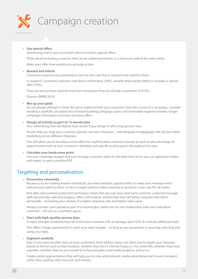<span id="page-12-0"></span>

## **• Use special offers**

Advertising mail is very successful when it includes special offers.

Think about including a voucher that can be redeemed instore, or a discount code to be used online.

Make your offer time-sensitive to provoke action.

### **• Reward and inform**

Customers respond very positively to one-to-one mail that is relevant and useful to them.

In research, customers welcome mail that is informative (76%), rewards their loyalty (68%) or includes a special offer (75%).

They are also positive towards mail from companies they are already a customer of (61%).

(Source: BMRB 2010)

**• Mix up your goals**

Do not always attempt to drive the same response from your customer. Over the course of a campaign, consider sending a carefully calculated mix of brand-building campaign packs and immediate response mailers; longer campaign information and time-sensitive offers.

#### **• Design all activity as part of 12-month plan**

Your advertising mail will deliver best results if you design it with a big-picture view.

Ensure that you map your customer journey out over a full year – and integrate it engagingly with all your other marketing across different channels.

This will allow you to develop a more effective, sophisticated customer journey as well as take advantage of opportunities such as your customer's birthday and specific buying points throughout the year.

#### **• Calculate your break-even point**

Use your campaign budget and your average customer value to calculate how much you can spend per mailer and expect to gain a positive ROI.

## Targeting and personalisation

#### **• Personalise relevantly**

Because you are mailing known individuals, you have fantastic opportunities to make your message extra relevant and useful to them. In fact, it might well be a false economy to produce a one-size-fits-all mailer.

Rich data and evolved production techniques mean that you can now send each customer a tailored message with dynamically-selected imagery, offers, information and formats that will better resonate with them personally – increasing your chance of a higher response rate and higher sales value.

Always consider your admail as part of a meaningful, useful one-to-one relationship with each individual customer – not just as a numbers game.

#### **• Start with high-quality, precise data**

A major strength of advertising mail is that your customer will, on average, open 97% of correctly-addressed mail.

This offers a huge opportunity to reach your exact targets – as long as you are precise in sourcing, selecting and using your data.

#### **• Segment carefully**

Even if you have no other data on your customers, their address alone can allow you to target your message based on factors such as their location, whether they live in a family house or city centre flat, whether they have a garden, whether they've just moved in or have bought a new-build property, and so on.

Create useful segmentations that will help you to only send relevant, useful advertising mail to each recipient, rather than wasting vital resources and money.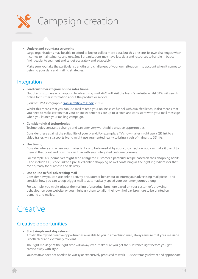<span id="page-13-0"></span>

### **• Understand your data strengths**

Large organisations may be able to afford to buy or collect more data, but this presents its own challenges when it comes to maintainance and use. Small organisations may have less data and resources to handle it, but can find it easier to segment and target accurately and adaptably.

Make sure you take the particular strengths and challenges of your own situation into account when it comes to defining your data and mailing strategies.

## Integration

#### **• Lead customers to your online sales funnel**

Out of all customers who respond to advertising mail, 44% will visit the brand's website, whilst 34% will search online for further information about the product or service.

(Source: DMA infographic *[From letterbox to inbox](http://www.dma.org.uk/toolkit/infographic-letterbox-inbox-2013)*, 2013)

Whilst this means that you can use mail to feed your online sales funnel with qualified leads, it also means that you need to make certain that your online experiences are up to scratch and consistent with your mail message when you launch your mailing campaign.

#### **• Consider digital technologies**

Technologies constantly change and can offer very worthwhile creative opportunities.

Consider these against the suitability of your brand. For example, a TV show mailer might use a QR link to a video trailer, whilst a sports brand might use augmented reality to bring a pair of trainers to 3D life.

#### **• Use timing**

Consider where and when your mailer is likely to be looked at by your customer, how you can make it useful to them at that point and how this can fit in with your integrated customer journey.

For example, a supermarket might send a targeted customer a particular recipe based on their shopping habits – and include a QR code link to a pre-filled online shopping basket containing all the right ingredients for that recipe, ready for purchase and delivery.

#### **• Use online to fuel advertising mail**

Consider how you can use online activity or customer behaviour to inform your advertising mail piece – and consider how you can set up trigger mail to automatically speed your customer journey along.

For example, you might trigger the mailing of a product brochure based on your customer's browsing behaviour on your website; or you might ask them to tailor their own holiday brochure to be printed on demand and mailed.

## **Creative**

## Creative opportunities

## **• Start simple and stay relevant**

Amidst the myriad creative opportunities available to you in advertising mail, always ensure that your message is both clear and extremely relevant.

The right message at the right time will always win: make sure you get the substance right before you get carried away with style.

Your creative does not need to be wacky or expensively produced to work – just extremely relevant and appropriate.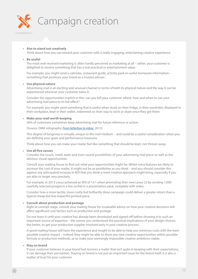

#### **• Aim to stand out creatively**

Think about how you can reward your customer with a really engaging, entertaining creative experience.

#### **• Be useful**

The most well-received marketing is often hardly perceived as marketing at all – rather, your customer is delighted to receive something that has a real practical or entertainment value.

For example, you might send a calendar, restaurant guide, activity pack or useful homecare information – something that positions your brand as a trusted adviser.

#### **• Use physical nature**

Advertising mail is an exciting and unusual channel in terms of both its physical nature and the way it can be experienced wherever your customer takes it.

Consider the opportunities implicit in this: can you tell your customer where, how and when to use your advertising mail piece to its full effect?

For example, you might send something that is useful when stuck on their fridge, in their wardrobe, displayed in their workplace, kept in their wallet, redeemed on their way to work or share once they get there.

#### **• Make your mail worth keeping**

26% of customers sometimes keep advertising mail for future reference or action.

(Source: DMA infographic *[From letterbox to inbox](http://www.dma.org.uk/toolkit/infographic-letterbox-inbox-2013)*, 2013)

This degree of longevity is virtually unique to the mail medium – and could be a useful consideration when you are defining your goals and performance measures.

Think about how you can make your mailer feel like something that should be kept, not thrown away.

#### **• Use all five senses**

Consider the touch, smell, taste and even sound possibilities of your advertising mail piece as well as the obvious visual opportunities.

Consult your mailing house to find out what your opportunities might be. Whilst extra features are likely to increase the cost of your mailer, it might not be as prohibitive as you think – and you should consider this against any anticipated increase in ROI that you think a more creative approach might bring, especially if you are able to target very precisely.

For example, in 2013 Lexus achieved an ROI of 13:1 when promoting their new Lexus LS by sending 1,000 carefully selected prospects a live orchid in a presentation pack, complete with video.

Consider how a more tactile, more costly but brilliantly done campaign could deliver a greater return than a typical cheap but less impactful printed piece.

#### **• Consult about production and postage**

Right at concept stage, consult your mailing house for invaluable advice on how your creative decisions will affect significant cost factors such as production and postage.

Do not leave it until your creative has already been developed and signed-off before showing it to such an important source of expertise – the sooner you understand the practical implications of your design choices, the better, so get your production supplier involved early in your creative process.

A good mailing house will have the experience and insight to be able to help you minimise costs with the least possible creative impact – indeed, they might be able to show you new creative opportunities within possible formats or production methods, or to make your seemingly impossible creative ambitions viable.

#### **• Stay on brand**

If your customer believes in your brand but receives a mailer that isn't quite in keeping with their expectations, it can damage their perception. Staying on brand is not just an important issue for the brand itself, it is also a matter of trust for your customer.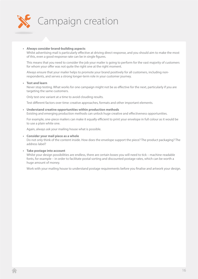

## **• Always consider brand-building aspects**

Whilst advertising mail is particularly effective at driving direct response, and you should aim to make the most of this, even a good response rate can be in single figures.

This means that you need to consider the job your mailer is going to perform for the vast majority of customers for whom your offer was not quite the right one at the right moment.

Always ensure that your mailer helps to promote your brand positively for all customers, including nonrespondents, and serves a strong longer-term role in your customer journey.

#### **• Test and learn**

Never stop testing. What works for one campaign might not be as effective for the next, particularly if you are targeting the same customers.

Only test one variant at a time to avoid clouding results.

Test different factors over time: creative approaches, formats and other important elements.

## **• Understand creative opportunities within production methods**

Existing and emerging production methods can unlock huge creative and effectiveness opportunities.

For example, one-piece mailers can make it equally efficient to print your envelope in full colour as it would be to use a plain white one.

Again, always ask your mailing house what is possible.

#### **• Consider your mail piece as a whole**

Do not only think of the content inside. How does the envelope support the piece? The product packaging? The address label?

#### **• Take postage into account**

Whilst your design possibilities are endless, there are certain boxes you will need to tick – machine-readable fonts, for example – in order to facilitate postal sorting and discounted postage rates, which can be worth a huge amount of money.

Work with your mailing house to understand postage requirements before you finalise and artwork your design.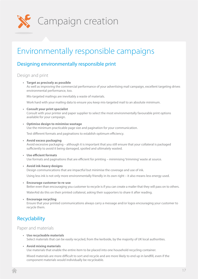<span id="page-16-0"></span>

# Environmentally responsible campaigns

## Designing environmentally responsible print

## Design and print

**• Target as precisely as possible** As well as improving the commercial performance of your advertising mail campaign, excellent targeting drives environmental performance, too.

Mis-targeted mailings are inevitably a waste of materials.

Work hard with your mailing data to ensure you keep mis-targeted mail to an absolute minimum.

**• Consult your print specialist**

Consult with your printer and paper supplier to select the most environmentally favourable print options available for your campaign.

**• Optimise design to minimise wastage**

Use the minimum practicable page size and pagination for your communication.

Test different formats and paginations to establish optimum efficiency.

- **• Avoid excess packaging** Avoid excessive packaging – although it is important that you still ensure that your collateral is packaged sufficiently to avoid it being damaged, spoiled and ultimately wasted.
- **• Use efficient formats** Use formats and paginations that are efficient for printing – minimising 'trimming' waste at source.
- **• Avoid ink-heavy designs**

Design communications that are impactful but minimise the coverage and use of ink.

Using less ink is not only more environmentally friendly in its own right – it also means less energy used.

**• Encourage customer to re-use**

Better even than encouraging you customer to recycle is if you can create a mailer that they will pass on to others.

WaterAid do this on their printed collateral, asking their supporters to share it after reading.

**• Encourage recycling** Ensure that your printed communications always carry a message and/or logos encouraging your customer to recycle them.

## Recyclability

## Paper and materials

- **• Use recycleable materials** Select materials that can be easily recycled, from the kerbside, by the majority of UK local authorities.
- **• Avoid mixing materials**

Use materials that enable the entire item to be placed into one household recycling container.

Mixed materials are more difficult to sort and recycle and are more likely to end up in landfill, even if the component materials would individually be recycleable.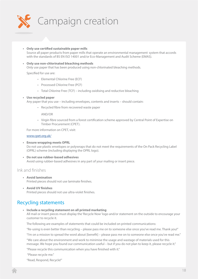<span id="page-17-0"></span>

**• Only use certified sustainable paper mills** Source all paper products from paper mills that operate an environmental management system that accords with the standards of BS EN ISO 14001 and/or Eco-Management and Audit Scheme (EMAS).

## **• Only use non-chlorinated bleaching methods** Only use paper that has been produced using non-chlorinated bleaching methods.

Specified for use are:

- Elemental Chlorine Free (ECF)
- Processed Chlorine Free (PCF)
- Total Chlorine Free (TCF) including oxidising and reductive bleaching

## **• Use recycled paper**

Any paper that you use – including envelopes, contents and inserts – should contain:

• Recycled fibre from recovered waste paper

AND/OR

• Virgin fibre sourced from a forest certification scheme approved by Central Point of Expertise on Timber Procurement (CPET).

For more information on CPET, visit:

## [www.cpet.org.uk/](http://www.cpet.org.uk/ )

- **• Ensure wrapping meets OPRL** Do not use plastic envelopes or polywraps that do not meet the requirements of the On Pack Recycling Label (OPRL) scheme (including displaying the OPRL logo).
- **• Do not use rubber-based adhesives** Avoid using rubber-based adhesives in any part of your mailing or insert piece.

## Ink and finishes

- **• Avoid lamination** Printed pieces should not use laminate finishes.
- **• Avoid UV finishes** Printed pieces should not use ultra-violet finishes.

## Recycling statements

**• Include a recycling statement on all printed marketing**

All mail or insert pieces must display the 'Recycle Now' logo and/or statement on the outside to encourage your customer to recycle it.

The following are examples of statements that could be included on printed communications:

"Re-using is even better than recycling – please pass me on to someone else once you've read me. Thank you!"

"I'm on a mission to spread the word about [benefit] – please pass me on to someone else once you've read me."

"We care about the environment and work to minimise the usage and wastage of materials used for this message. We hope you found our communication useful – but if you do not plan to keep it, please recycle it."

"Please recycle this communication when you have finished with it."

"Please recycle me."

"Read, Respond, Recycle!"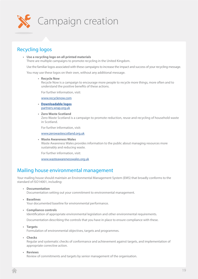<span id="page-18-0"></span>

## Recycling logos

**• Use a recycling logo on all printed materials**

There are multiple campaigns to promote recycling in the United Kingdom.

Use the familiar logos associated with these campaigns to increase the impact and success of your recycling message.

You may use these logos on their own, without any additional message.

#### **• Recycle Now**

Recycle Now is a campaign to encourage more people to recycle more things, more often and to understand the positive benefits of these actions.

For further information, visit:

[www.recyclenow.com](http://www.recyclenow.com )

- **• [Downloadable logos](http://www.recyclenow.com )** [partners.wrap.org.uk](http://www.recyclenow.com )
- **• Zero Waste Scotland**

Zero Waste Scotland is a campaign to promote reduction, reuse and recycling of household waste in Scotland.

For further information, visit:

[www.zerowastescotland.org.uk](http://www.zerowastescotland.org.uk )

**• Waste Awareness Wales** Waste Awareness Wales provides information to the public about managing resources more sustainably and reducing waste.

For further information, visit:

www.wasteawarenesswales.org.uk

## Mailing house environmental management

Your mailing house should maintain an Environmental Management System (EMS) that broadly conforms to the standard of ISO14001, including:

**• Documentation**

Documentation setting out your commitment to environmental management.

**• Baselines**

Your documented baseline for environmental performance.

**• Compliance controls**

Identification of appropriate environmental legislation and other environmental requirements.

Documentation describing the controls that you have in place to ensure compliance with these.

**• Targets**

Formulation of environmental objectives, targets and programmes.

**• Checks**

Regular and systematic checks of conformance and achievement against targets, and implementation of appropriate corrective action.

## **• Reviews**

Review of commitments and targets by senior management of the organisation.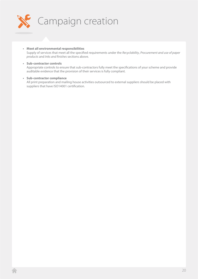

**• Meet all environmental responsibilities**

Supply of services that meet all the specified requirements under the *Recyclability*, *Procurement and use of paper products* and *Inks and finishes* sections above.

- **• Sub-contractor controls** Appropriate controls to ensure that sub-contractors fully meet the specifications of your scheme and provide auditable evidence that the provision of their services is fully compliant.
- **• Sub-contractor compliance** All print preparation and mailing house activities outsourced to external suppliers should be placed with suppliers that have ISO14001 certification.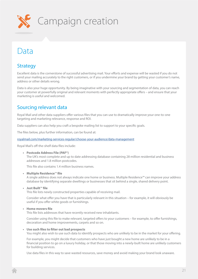<span id="page-20-0"></span>

## Data

## **Strategy**

Excellent data is the cornerstone of successful advertising mail. Your efforts and expense will be wasted if you do not send your mailing accurately to the right customers, or if you undermine your brand by getting your customer's name, address or other details wrong.

Data is also your huge opportunity. By being imaginative with your sourcing and segmentation of data, you can reach your customer at powerfully original and relevant moments with perfectly appropriate offers – and ensure that your marketing is useful and welcomed.

## Sourcing relevant data

Royal Mail and other data suppliers offer various files that you can use to dramatically improve your one-to-one targeting and marketing relevance, response and ROI.

Data suppliers can also help you craft a bespoke mailing list to support to your specific goals.

The files below, plus further information, can be found at:

[royalmail.com/marketing-services-regular/choose-your-audience/data-management](http://www.royalmail.com/marketing-services-regular/choose-your-audience/data-management )

Royal Mail's off-the-shelf data files include:

**• Postcode Address File (PAF®)**

The UK's most complete and up to date addressing database containing 28 million residential and business addresses and 1.8 million postcodes.

This file also contains 1.4 million business names.

**• Multiple Residence**™ **file**

A single address does not always indicate one home or business. Multiple Residence™ can improve your address database by identifying separate dwellings or businesses that sit behind a single, shared delivery point.

**• Just Built**™ **file**

This file lists newly constructed properties capable of receiving mail.

Consider what offer you have that is particularly relevant in this situation – for example, it will obviously be useful if you offer white goods or furnishings.

**• Home movers file**

This file lists addresses that have recently received new inhabitants.

Consider using this file to make relevant, targeted offers to your customers – for example, to offer furnishings, decoration and home improvements, carpets and so on.

#### **• Use such files to filter out bad prospects**

You might also wish to use such data to identify prospects who are unlikely to be in the market for your offering.

For example, you might decide that customers who have just bought a new home are unlikely to be in a financial position to go on a luxury holiday, or that those moving into a newly-built home are unlikely customers for building services.

Use data files in this way to save wasted resources, save money and avoid making your brand look unaware.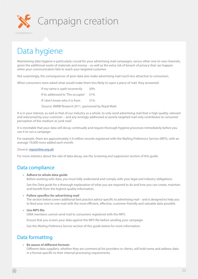<span id="page-21-0"></span>

## Data hygiene

Maintaining data hygiene is particularly crucial for your advertising mail campaigns, versus other one-to-one channels, given the additional waste of materials and money – as well as the extra risk of breach of privacy that can happen when your communication fails to reach your targeted customer.

Not surprisingly, the consequences of poor data also make advertising mail much less attractive to consumers.

When consumers were asked what would make them less likely to open a piece of mail, they answered:

If my name is spelt incorrectly 30% If its addressed to 'The occupier' 51% If I don't know who it is from 31% (Source: *BMRB Research 2011,* sponsored by Royal Mail)

It is in your interest, as well as that of our industry as a whole, to only send advertising mail that is high quality, relevant and welcomed by your customer – and any wrongly-addressed or poorly-targeted mail only contributes to consumer perception of the medium as 'junk mail'.

It is inevitable that your data will decay continually and require thorough hygiene processes immediately before you use it to run a campaign.

For example, there are approximately 5.9 million records registered with the Mailing Preference Service (MPS), with an average 19,000 more added each month.

#### (Source: [mpsonline.org.uk\)](http://www.mpsonline.org.uk)

For more statistics about the rate of data decay, see the *Screening and suppression* section of this guide.

## Data compliance

**• Adhere to whole data guide**

Before working with data, you must fully understand and comply with your legal and industry obligations.

See the *Data guide* for a thorough explanation of what you are required to do and how you can create, maintain and benefit from the highest quality information.

#### **• Follow specifics for advertising mail**

The section below covers additional best practice advice specific to advertising mail – and is designed to help you to feed your one-to-one mail with the most efficient, effective, customer-friendly and valuable data possible.

## **• Use MPS file**

DMA members cannot send mail to consumers registered with the MPS.

Ensure that you screen your data against the MPS file before sending your campaign.

See the *Mailing Preference Service* section of this guide below for more information.

## Data formatting

## **• Be aware of different formats**

Different data suppliers, whether they are commercial list providers or clients, will hold name and address data in a format specific to their internal processing requirements.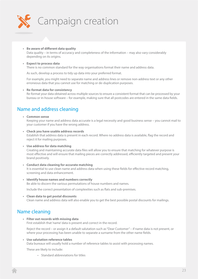<span id="page-22-0"></span>

#### **• Be aware of different data quality**

Data quality – in terms of accuracy and completeness of the information – may also vary considerably depending on its origins.

## **• Expect to process data**

There is no common standard for the way organisations format their name and address data.

As such, develop a process to tidy up data into your preferred format.

For example, you might need to separate name and address lines or remove non-address text or any other erroneous data that you cannot use for matching or de-duplication purposes.

#### **• Re-format data for consistency**

Re-format your data obtained across multiple sources to ensure a consistent format that can be processed by your bureau or in-house software – for example, making sure that all postcodes are entered in the same data fields.

## Name and address cleaning

#### **• Common sense**

Keeping your name and address data accurate is a legal necessity and good business sense – you cannot mail to your customer if you have the wrong address.

#### **• Check you have usable address records**

Establish that address data is present in each record. Where no address data is available, flag the record and reject it for mailing purposes.

#### **• Use address for data matching**

Creating and maintaining accurate data files will allow you to ensure that matching for whatever purpose is most effective and will ensure that mailing pieces are correctly addressed, efficiently targeted and present your brand positively.

- **• Conduct data cleaning for accurate matching** It is essential to use clean name and address data when using these fields for effective record matching, screening and data enhancement.
- **• Identify house names and numbers correctly** Be able to discern the various permutations of house numbers and names.

Include the correct presentation of complexities such as flats and sub-premises.

**• Clean data to get postal discounts** Clean name and address data will also enable you to get the best possible postal discounts for mailings.

## Name cleaning

**• Filter out records with missing data**

First establish that 'name' data is present and correct in the record.

Reject the record – or assign it a default salutation such as "Dear Customer" – if name data is not present, or where your processing has been unable to separate a surname from the other name fields.

## **• Use salutation reference tables**

Data bureaux will usually hold a number of reference tables to assist with processing names.

These are likely to include:

• Standard abbreviations for titles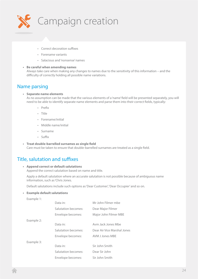<span id="page-23-0"></span>

- Correct decoration suffixes
- Forename variants
- Salacious and 'nonsense' names

## **• Be careful when amending names**

Always take care when making any changes to names due to the sensitivity of this information – and the difficulty of correctly holding all possible name variations.

## Name parsing

### **• Separate name elements**

As no assumption can be made that the various elements of a 'name' field will be presented separately, you will need to be able to identify separate name elements and parse them into their correct fields, typically:

- Prefix
- Title
- Forename/initial
- Middle name/initial
- Surname
- Suffix
- **• Treat double-barrelled surnames as single field** Care must be taken to ensure that double-barrelled surnames are treated as a single field.

## Title, salutation and suffixes

## **• Append correct or default salutations**

Append the correct salutation based on name and title.

Apply a default salutation where an accurate salutation is not possible because of ambiguous name information, such as 'Chris Jones.

Default salutations include such options as 'Dear Customer', 'Dear Occupier' and so on.

#### **• Example default salutations**

| Example 1: |                     |                             |
|------------|---------------------|-----------------------------|
|            | Data in:            | Mr John Filmer mbe          |
|            | Salutation becomes: | Dear Major Filmer           |
|            | Envelope becomes:   | Major John Filmer MBE       |
| Example 2: |                     |                             |
|            | Data in:            | Aym Jack Jones Mbe          |
|            | Salutation becomes: | Dear Air Vice Marshal Jones |
|            | Envelope becomes:   | AVM J Jones MBE             |
| Example 3: |                     |                             |
|            | Data in:            | Sir John Smith              |
|            | Salutation becomes: | Dear Sir John               |
|            | Envelope becomes:   | Sir John Smith              |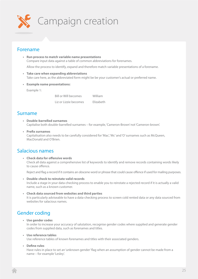<span id="page-24-0"></span>

## Forename

- **• Run process to match variable name presentations** Compare input data against a table of common abbreviations for forenames. Allow the process to identify, expand and therefore match variable presentations of a forename.
- **• Take care when expanding abbreviations**
- Take care here, as the abbreviated form might be be your customer's actual or preferred name.
- **• Example name presentations:**

Example 1:

Bill or Will becomes William

Liz or Lizzie becomes Elizabeth

## Surname

- **• Double-barrelled surnames** Capitalise both double-barrelled surnames – for example, 'Cameron-Brown' not 'Cameron-brown'.
- **• Prefix surnames** Capitalisation also needs to be carefully considered for 'Mac', 'Mc' and 'O' surnames such as McQueen, MacDonald and O'Brien.

## Salacious names

**• Check data for offensive words** Check all data against a comprehensive list of keywords to identify and remove records containing words likely to cause offence.

Reject and flag a record if it contains an obscene word or phrase that could cause offence if used for mailing purposes.

- **• Double-check to reinstate valid records** Include a stage in your data-checking process to enable you to reinstate a rejected record if it is actually a valid name, such as a known customer.
- **• Check data sourced from websites and third parties** It is particularly adviseable to have a data-checking process to screen cold rented data or any data sourced from websites for salacious names.

## Gender coding

- **• Use gender codes** In order to increase your accuracy of salutation, recognise gender codes where supplied and generate gender codes from supplied data, such as forenames and titles.
- **• Use reference tables**

Use reference tables of known forenames and titles with their associated genders.

**• Define rules**

Have rules in place to set an 'unknown gender' flag when an assumption of gender cannot be made from a name – for example 'Lesley'.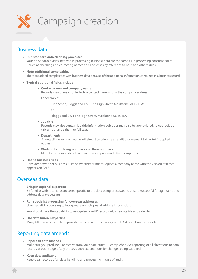<span id="page-25-0"></span>

## Business data

- **• Run standard data cleaning processes**  Your principal activities involved in processing business data are the same as in processing consumer data – such as checking and correcting names and addresses by reference to PAF® and other tables.
- **• Note additional complexities** There are added complexities with business data because of the additional information contained in a business record.
- **• Typical additional fields include:**
	- **• Contact name and company name** Records may or may not include a contact name within the company address.

For example:

'Fred Smith, Bloggs and Co, 1 The High Street, Maidstone ME15 1SA'

or

'Bloggs and Co, 1 The High Street, Maidstone ME15 1SA'

**• Job title**

Records may also contain job title information. Job titles may also be abbreviated, so use look-up tables to change them to full text.

**• Departments**

A contact's department name will almost certainly be an additional element to the PAF® supplied address.

**• Work units, building numbers and floor numbers** Identify the correct details within business parks and office complexes.

#### **• Define business rules**

Consider how to set business rules on whether or not to replace a company name with the version of it that appears on PAF®.

## Overseas data

**• Bring in regional expertise**

Be familiar with local idiosyncrasies specific to the data being processed to ensure successful foreign name and address data processing.

**• Run specialist processing for overseas addresses** Use specialist processing to incorporate non-UK postal address information.

You should have the capability to recognise non-UK records within a data file and side file.

**• Use data bureau expertise** Many UK bureaux are able to provide overseas address management. Ask your bureau for details.

## Reporting data amends

- **• Report all data amends** Make sure you produce – or receive from your data bureau – comprehensive reporting of all alterations to data records at each stage of any process, with explanations for changes being supplied.
- **• Keep data auditable**

Keep clear records of all data handling and processing in case of audit.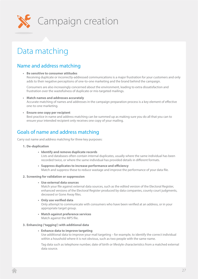<span id="page-26-0"></span>

## Data matching

## Name and address matching

**• Be sensitive to consumer attitudes**

Receiving duplicate or incorrectly-addressed communications is a major frustration for your customers and only adds to their negative perceptions of one-to-one marketing and the brand behind the campaign.

Consumers are also increasingly concerned about the environment, leading to extra dissatisfaction and frustration over the wastefulness of duplicate or mis-targeted mailings.

**• Match names and addresses accurately**

Accurate matching of names and addresses in the campaign preparation process is a key element of effective one-to-one marketing.

**• Ensure one copy per recipient**

Best practice in name and address matching can be summed up as making sure you do all that you can to ensure your intended recipient only receives one copy of your mailing.

## Goals of name and address matching

Carry out name and address matching for three key purposes:

#### **1. De-duplication**

- **• Identify and remove duplicate records** Lists and databases often contain internal duplicates, usually where the same individual has been recorded twice, or where the same individual has provided details in different formats.
- **• Suppress duplicates to increase performance and efficiency** Match and suppress these to reduce wastage and improve the performance of your data file.

## **2. Screening for validation or suppression**

**• Use external data sources**

Match your file against external data sources, such as the edited version of the Electoral Register, enhanced versions of the Electoral Register produced by data companies, county court judgments, deceased or Gone Away files.

**• Only use verified data**

Only attempt to communicate with consumers who have been verified at an address, or in your appropriate target group.

**• Match against preference services** Match against the MPS file.

## **3. Enhancing ('tagging') with additional data**

### **• Enhance data to improve targeting**

Use additional data to improve your mail targeting – for example, to identify the correct individual within a houshold where it is not obvious, such as two people with the same name.

Tag data such as telephone number, date of birth or lifestyle characteristics from a matched external data source.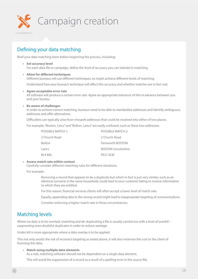<span id="page-27-0"></span>

## Defining your data matching

Brief your data matching team before beginning the process, including:

- **• Set accuracy level** For each data file or campaign, define the level of accuracy you can tolerate in matching.
- **• Allow for different techniques** Different bureaux will use different techniques, so might achieve different levels of matching.

Understand how your bureau's technique will affect this accuracy and whether matches are in fact real.

**• Agree acceptable error rate**

All software will produce a certain error rate. Agree an appropriate tolerance of this in advance between you and your bureau.

## **• Be aware of challenges**

In order to achieve correct matching, bureaux need to be able to standardise addresses and identify ambiguous addresses and offer alternatives.

Difficulties can typically arise from misspelt addresses that could be resolved into either of two places.

For example, "Boston, Lincs" and "Bolton, Lancs" are easily confused, such as these two addresses:

| POSSIBLE MATCH 1: | POSSIBLE MATCH 2:          |
|-------------------|----------------------------|
| 2 Church Road     | 2 Church Road              |
| <b>Bolton</b>     | Farnworth BOSTON           |
| Lancs             | <b>BOLTON Lincolnshire</b> |
| BI 4 8 A I        | PF <sub>21</sub> OLW       |

## **• Assess match rate within context**

Carefully consider different matching rules for different situations.

#### For example:

Removing a record that appears to be a duplicate but which in fact is just very similar, such as an identical surname in the same household, could lead to your customer failing to receive information to which they are entitled.

For this reason, financial services clients will often accept a lower level of match rate.

Equally, appending data to the wrong record might lead to inappropriate targeting of communications.

Consider enforcing a higher match rate in these circumstances.

## Matching levels

Where no data is to be overlaid, matching and de-duplicating a file is usually carried out with a level of overkill suppressing even doubtful duplicates in order to reduce wastage.

Under kill is more appropriate where a data overlay is to be applied.

This not only avoids the risk of incorrect targeting as noted above, it will also minimise the cost to the client of licensing this data.

## **• Match using multiple data elements**

As a rule, matching software should not be dependent on a single data element.

This will avoid the suppression of a record as a result of a spelling error in the source file.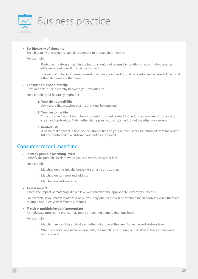<span id="page-28-0"></span>

**• Set hierarchy of elements**

Set a hierarchy that weights each data element to be used in the match.

For example:

Postcode is a strong matching point but should not be used in isolation since a single character difference could result in a failure to match.

The second initial in a name is a weak matching point and should be overlooked, where it differs, if all other elements are the same.

## **• Consider de-dupe hierarchy**

Consider a de-dupe hierarchy between your various files.

For example, your hierarchy might be:

#### **1. Your 'do not mail' file**

Any record that matches against this must be removed.

#### **2. Your customer file**

You customer file is likely to be your most important contact list, as long as you keep it organised, clean and up-to-date. Match other lists against your customer list, not the other way around.

**3. Rented lists**

A name that appears in both your customer file and your rented list can be removed from the rented list and contacted as a customer and not as a prospect.

## Consumer record matching

## **• Identify possible matching levels**

Identify the possible levels at which you can match consumer files.

For example:

- Matched on title, initials/forename, surname and address
- Matched on surname and address
- Matched on address only

#### **• Assess impact**

Assess the impact of matching at each level and match at the appropriate level for your needs.

For example, if you match at address-only level, only one record will be retained for an address even if there are multiple occupiers with different surnames.

### **• Match at multiple levels if appropriate**

A single data processing project may require matching at more than one level.

For example:

- Matching rented lists against each other might be at the finer, full name and address level
- When screening against a deceased file, the match is commonly undertaken at the surname and address level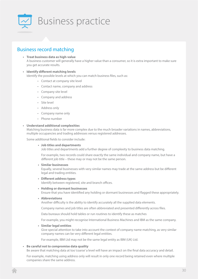<span id="page-29-0"></span>

## Business record matching

- **• Treat business data as high-value** A business customer will generally have a higher value than a consumer, so it is extra important to make sure you get accurate results.
- **• Identify different matching levels** Identify the possible levels at which you can match business files, such as:
	- Contact at company site level
	- Contact name, company and address
	- Company site level
	- Company and address
	- Site level
	- Address only
	- Company name only
	- Phone number

## **• Understand additional complexities**

Matching business data is far more complex due to the much broader variations in names, abbreviations, multiple occupancies and trading addresses versus registered addresses.

Some additional fields to consider include:

**• Job titles and departments**

Job titles and departments add a further degree of complexity to business data matching.

For example, two records could share exactly the same individual and company name, but have a different job title – these may or may not be the same person.

**• Similar businesses**

Equally, several businesses with very similar names may trade at the same address but be different legal and trading entities.

**• Different address types**

Identify between registered, site and branch offices.

**• Holding or dormant businesses**

Ensure that you have identified any holding or dormant businesses and flagged these appropriately.

**• Abbreviations**

Another difficulty is the ability to identify accurately all the supplied data elements.

Company names and job titles are often abbreviated and presented differently across files.

Data bureaux should hold tables or run routines to identify these as matches

For example, you might recognise International Business Machines and IBM as the same company.

**• Similar legal entities**

Give special attention to take into account the context of company name matching, as very similar company names can be very different legal entities.

For example, IBM Ltd may not be the same legal entity as IBM (UK) Ltd.

#### **• Be careful not to compromise data quality**

Be aware that matching data at too 'coarse' a level will have an impact on the final data accuracy and detail.

For example, matching using address only will result in only one record being retained even where multiple companies share the same address.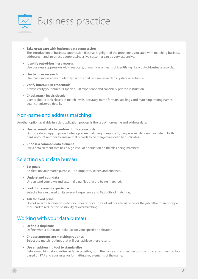<span id="page-30-0"></span>

- **• Take great care with business data suppression** The introduction of business suppression files has highlighted the problems associated with matching business addresses – and incorrectly suppressing a live customer can be very expensive.
- **• Identify out-of-business records** Use business suppression with great care, primarily as a means of identifying likely out-of-business records.
- **• Use to focus research** Use matching as a way to identify records that require research to update or enhance.
- **• Verify bureau B2B credentials** Always verify your bureau's specific B2B experience and capability prior to instruction.
- **• Check match levels closely** Clients should look closely at match levels, accuracy, name formats/spellings and matching trading names against registered details.

## Non-name and address matching

Another option available in a de-duplication process is the use of non-name and address data.

- **• Use personal data to confirm duplicate records** During a data-tagging project where precise matching is important, use personal data such as date of birth or bank account number to ensure that records to be merged are definite duplicates.
- **• Choose a common data element** Use a data element that has a high level of population on the files being matched.

## Selecting your data bureau

- **• Set goals** Be clear on your match purpose – de-duplicate, screen and enhance.
- **• Understand your data** Understand your own and external data files that are being matched.
- **• Look for relevant experience** Select a bureau based on its relevant experience and flexibility of matching.
- **• Ask for fixed price** Do not select a bureau on match volumes or price. Instead, ask for a fixed price for the job rather than price per thousand to reduce the possibility of 'overmatching'.

## Working with your data bureau

- **• Define 'a duplicate'** Define what 'a duplicate' looks like for your specific application.
- **• Choose appropriate matching routines** Select the match routines that will best achieve these results.
- **• Use an addressing tool to standardise** Before matching, standardise, as far as possible, both the name and address records by using an addressing tool based on PAF and your rules for formatting key elements of the name.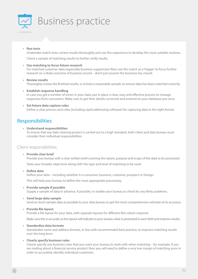<span id="page-31-0"></span>

## **• Run tests**

Undertake match tests, review results thoroughly and use this experience to develop the most suitable routines.

Check a sample of matching results to further verify results.

## **• Use matching to focus future research**

For matched customer data (especially business suppression files) use the match as a 'trigger' to focus further research on a likely outcome of business record – don't just assume the business has closed.

#### **• Review results**

Thoroughly review the finished results, or at least a reasonable sample, to ensure data has been matched correctly.

- **• Establish response handling** In case you get a number of errors in your data, put in place a clear, easy and effective process to manage responses from consumers. Make sure to get their details corrected and entered on your database just once.
- **• Set future data capture rules** Define a clear process and rules (including rapid addressing software) for capturing data in the right format.

## Responsibilities

**• Understand responsibilities** To ensure that any data cleaning project is carried out to a high standard, both client and data bureau must consider their individual responsibilities.

## Client responsibilities:

**• Provide clear brief**

Provide your bureau with a clear written brief covering the nature, purpose and scope of the data to be processed.

State your broader objectives along with the type and level of matching to be used.

**• Define data**

Define your data – including whether it is consumer, business, customer, prospect or foreign.

This will help your bureau to define the most appropriate processing.

**• Provide sample if possible**

Supply a sample of data in advance, if possible, to enable your bureau to check for any likely problems.

- **• Send large data sample** Send as much sample data as possible to your data bureau to get the most comprehensive estimate of its accuracy.
- **• Provide file layout**

Provide a file layout for your data, with separate layouts for different files where required.

Make sure this is accurate as this layout will indicate to your bureau what is presented in each field and improve results.

**• Standardise data formats**

Standardise name and address formats, in line with recommended best practice, to improve matching results over the long term.

**• Clearly specify business rules**

Clearly specify any business rules that you want your bureau to work with when matching – for example, if you are mailing about a financial service product then you will need to define a very low margin of matching error in order to accurately identify individual customers.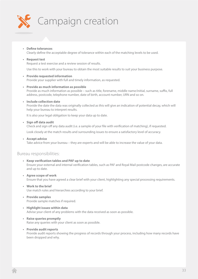

**• Define tolerances** Clearly define the acceptable degree of tolerance within each of the matching levels to be used.

#### **• Request test**

Request a test exercise and a review session of results.

Use this to work with your bureau to obtain the most suitable results to suit your business purpose.

- **• Provide requested information** Provide your supplier with full and timely information, as requested.
- **• Provide as much information as possible** Provide as much information as possible – such as title, forename, middle name/initial, surname, suffix, full address, postcode, telephone number, date of birth, account number, URN and so on.
- **• Include collection date**

Provide the date the data was originally collected as this will give an indication of potential decay, which will help your bureau to interpret results.

It is also your legal obligation to keep your data up to date.

#### **• Sign off data audit**

Check and sign off any data audit (i.e. a sample of your file with verification of matching), if requested.

Look closely at the match results and surrounding issues to ensure a satisfactory level of accuracy.

**• Accept advice**

Take advice from your bureau – they are experts and will be able to increase the value of your data.

## Bureau responsibilities:

- **• Keep verification tables and PAF up to date** Ensure your external and internal verification tables, such as PAF and Royal Mail postcode changes, are accurate and up to date.
- **• Agree scope of work** Ensure that you have agreed a clear brief with your client, highlighting any special processing requirements.
- **• Work to the brief** Use match rules and hierarchies according to your brief.
- **• Provide samples** Provide sample matches if required.
- **• Highlight issues within data** Advise your client of any problems with the data received as soon as possible.
- **• Raise queries promptly** Raise any queries with your client as soon as possible.
- **• Provide audit reports** Provide audit reports showing the progress of records through your process, including how many records have been dropped and why.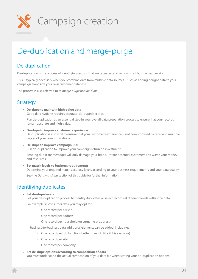<span id="page-33-0"></span>

# De-duplication and merge-purge

## De-duplication

De-duplication is the process of identifying records that are repeated and removing all but the best version.

This is typically necessary when you combine data from multiple data sources – such as adding bought data to your campaign alongside your own customer database.

The process is also referred to as *merge-purge* and *de-dupe*.

## **Strategy**

**• De-dupe to maintain high-value data** Good data hygiene requires accurate, de-duped records.

Run de-duplication as an essential step in your overall data preparation process to ensure that your records remain accurate and high-value.

**• De-dupe to improve customer experience** 

De-duplication is also vital to ensure that your customer's experience is not compromised by receiving multiple copies of your communications.

**• De-dupe to improve campaign ROI** Run de-duplication to improve your campaign return on investment.

Sending duplicate messages will only damage your brand, irritate potential customers and waste your money and resources.

**• Set match levels to business requirements** Determine your required match accuracy levels according to your business requirements and your data quality.

See the *Data matching* section of this guide for further information.

## Identifying duplicates

**• Set de-dupe levels**

Set your de-duplication process to identify duplicates or select records at different levels within the data.

For example, in consumer data you may opt for:

- One record per person
- One record per address
- One record per household (or surname at address)

In business-to-business data additional elements can be added, including:

- One record per job function (better than job title if it is available)
- One record per site
- One record per company
- **• Set de-dupe options according to composition of data** You must understand the actual composition of your data file when setting your de-duplication options.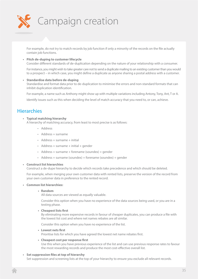<span id="page-34-0"></span>

For example, do not try to match records by job function if only a minority of the records on the file actually contain job functions.

### **• Pitch de-duping to customer lifecycle**

Consider different standards of de-duplication depending on the nature of your relationship with a consumer.

For instance, you might wish to take greater care not to send a duplicate mailing to an existing customer than you would to a prospect – in which case, you might define a duplicate as anyone sharing a postal address with a customer.

#### **• Standardise data before de-duping**

Standardise and format data prior to de-duplication to minimise the errors and non-standard formats that can inhibit duplication identification.

For example, a name such as Anthony might show up with multiple variations including Antony, Tony, Ant, T or A.

Identify issues such as this when deciding the level of match accuracy that you need to, or can, achieve.

## **Hierarchies**

#### **• Typical matching hierarchy**

A hierarchy of matching accuracy, from least to most precise is as follows:

- Address
- Address + surname
- $\cdot$  Address + surname + initial
- $\cdot$  Address + surname + initial + gender
- Address + surname + forename (soundex) + gender
- Address + surname (soundex) + forename (soundex) + gender

#### **• Construct list hierarchies**

Construct a de-dupe hierarchy to decide which records take precedence and which should be deleted.

For example, when merging your own customer data with rented lists, preserve the version of the record from your own customer data in preference to the rented record.

#### **• Common list hierarchies:**

**• Random**

All data sources are viewed as equally valuable.

Consider this option when you have no experience of the data sources being used, or you are in a testing phase.

**• Cheapest lists first**

By eliminating more expensive records in favour of cheaper duplicates, you can produce a file with the lowest list cost and where net names rebates are all similar.

Consider this option when you have no experience of the list.

**• Lowest nets first**

Prioritise lists for which you have agreed the lowest net name rebates first.

**• Cheapest cost per response first**

Use this when you have previous experience of the list and can use previous response rates to favour the most rewarding records and produce the most cost-effective overall list.

#### **• Set suppression files at top of hierarchy**

Set suppression and screening lists at the top of your hierarchy to ensure you exclude all relevant records.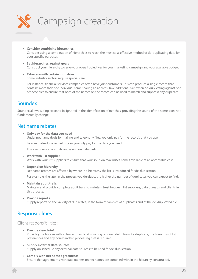<span id="page-35-0"></span>

- **• Consider combining hierarchies** Consider using a combination of hierarchies to reach the most cost-effective method of de-duplicating data for your specific purposes.
- **• Set hierarchies against goals** Construct your hierarchy to serve your overall objectives for your marketing campaign and your available budget.
- **• Take care with certain industries** Some industry sectors require special care.

For instance, financial services companies often have joint customers. This can produce a single record that contains more than one individual name sharing an address. Take additional care when de-duplicating against one of these files to ensure that both of the names on the record can be used to match and suppress any duplicate.

## Soundex

Soundex allows typing errors to be ignored in the identification of matches, providing the sound of the name does not fundamentally change.

## Net name rebates

**• Only pay for the data you need** Under net name deals for mailing and telephony files, you only pay for the records that you use.

Be sure to de-dupe rented lists so you only pay for the data you need.

This can give you a significant saving on data costs.

- **• Work with list supplier** Work with your list suppliers to ensure that your solution maximises names available at an acceptable cost.
- **• Depend on hierarchy**

Net name rebates are affected by where in a hierarchy the list is introduced for de-duplication.

For example, the later in the process you de-dupe, the higher the number of duplicates you can expect to find.

**• Maintain audit trails**

Maintain and provide complete audit trails to maintain trust between list suppliers, data bureaux and clients in this process.

**• Provide reports**

Supply reports on the validity of duplicates, in the form of samples of duplicates and of the de-duplicated file.

## Responsibilities

## Client responsibilities:

- **• Provide clear brief** Provide your bureau with a clear written brief covering required definition of a duplicate, the hierarchy of list preferences and any non-standard processing that is required.
- **• Supply external data sources** Supply on schedule any external data sources to be used for de-duplication.
- **• Comply with net name agreements** Ensure that agreements with data owners on net names are complied with in the hierarchy constructed.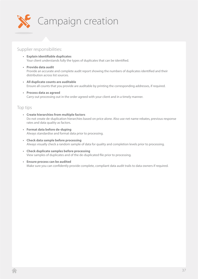

## Supplier responsibilities:

- **• Explain identifiable duplicates** Your client understands fully the types of duplicates that can be identified.
- **• Provide data audit** Provide an accurate and complete audit report showing the numbers of duplicates identified and their distribution across list sources.
- **• All duplicate counts are auditable** Ensure all counts that you provide are auditable by printing the corresponding addresses, if required.
- **• Process data as agreed** Carry out processing out in the order agreed with your client and in a timely manner.

## Top tips

- **• Create hierarchies from multiple factors** Do not create de-duplication hierarchies based on price alone. Also use net name rebates, previous response rates and data quality as factors.
- **• Format data before de-duping** Always standardise and format data prior to processing.
- **• Check data sample before processing** Always visually check a random sample of data for quality and completion levels prior to processing.
- **• Check duplicate samples before processing** View samples of duplicates and of the de-duplicated file prior to processing.
- **• Ensure process can be audited** Make sure you can confidently provide complete, compliant data audit trails to data owners if required.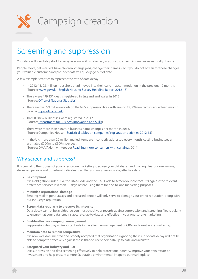

# Screening and suppression

Your data will inevitably start to decay as soon as it is collected, as your customers' circumstances naturally change.

People move, get married, have children, change jobs, change their names – so if you do not screen for these changes your valuable customer and prospect data will quickly go out of date.

A few example statistics to represent the rate of data decay:

- In 2012-13, 2.3 million households had moved into their current accommodation in the previous 12 months. (Source: [www.gov.uk – English Housing Survey Headline Report 2012-13](https://www.gov.uk/government/uploads/system/uploads/attachment_data/file/284648/English_Housing_Survey_Headline_Report_2012-13.pdf))
- There were 499,331 deaths registered in England and Wales in 2012. (Source: [Office of National Statistics](http://www.ons.gov.uk/ons/dcp171778_331565.pdf))
- There are over 5.9 million records on the MPS suppression file with around 19,000 new records added each month. (Source: [mpsonline.org.uk](http://www.mpsonline.org.uk))
- 102,000 new businesses were registered in 2012. (Source: [Department for Business Innovation and Skills\)](https://www.gov.uk/government/uploads/system/uploads/attachment_data/file/254552/13-92-business-population-estimates-2013-stats-release-4.pdf)
- There were more than 4500 UK business name changes per month in 2013. (Source: Companies House – [Statistical tables on companies' registration activities 2012-13\)](http://www.companieshouse.gov.uk/about/pdf/companiesRegActivities2012_2013.pdf)
- In the UK, more than 20 million mailed items are incorrectly addressed every month, costing businesses an estimated £200m to £300m per year. (Source: DMA/Axiom whitepaper [Reaching more consumers with certainty,](http://dma.org.uk/sites/default/files/tookit_files/reaching_more_consumers_with_certainty.pdf) 2011)

# Why screen and suppress?

It is crucial to the success of your one-to-one marketing to screen your databases and mailing files for gone-aways, deceased persons and opted-out individuals, so that you only use accurate, effective data.

- **• Be compliant** It is a obligation under DPA, the DMA Code and the CAP Code to screen your contact lists against the relevant preference services less than 30 days before using them for one-to-one marketing purposes.
- **• Minimise reputational damage** Sending mail to gone-aways and deceased people will only serve to damage your brand reputation, along with our industry's reputation.
- **• Screen data regularly to preserve its integrity** Data decay cannot be avoided, so you must check your records against suppression and screening files regularly to ensure that your data remains accurate, up-to-date and effective in your one-to-one marketing.
- **• Enable effective campaign management** Suppression files play an important role in the effective management of CRM and one-to-one marketing.
- **• Maintain data to remain competitive**

It is now well documented and broadly accepted that organisations ignoring the issue of data decay will not be able to compete effectively against those that do keep their data up to date and accurate.

#### **• Safeguard your industry and ROI**

Use suppression and data screening effectively to help protect our industry, improve your own return on investment and help present a more favourable environmental image to our marketplace.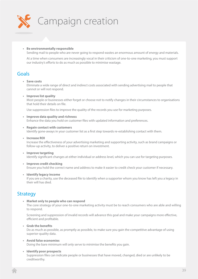

#### **• Be environmentally responsible**

Sending mail to people who are never going to respond wastes an enormous amount of energy and materials.

At a time when consumers are increasingly vocal in their criticism of one-to-one marketing, you must support our industry's efforts to do as much as possible to minimise wastage.

## Goals

#### **• Save costs**

Eliminate a wide range of direct and indirect costs associated with sending advertising mail to people that cannot or will not respond.

**• Improve list quality**

Most people or businesses either forget or choose not to notify changes in their circumstances to organisations that hold their details on file.

Use suppression files to improve the quality of the records you use for marketing purposes.

- **• Improve data quality and richness** Enhance the data you hold on customer files with updated information and preferences.
- **• Regain contact with customers** Identify gone-aways in your customer list as a first step towards re-establishing contact with them.
- **• Increase ROI**

Increase the effectiveness of your advertising marketing and supporting activity, such as brand campaigns or follow-up activity, to deliver a positive return on investment.

- **• Improve targeting** Identify significant changes at either individual or address level, which you can use for targeting purposes.
- **• Improve credit checking** Ensure you hold the correct name and address to make it easier to credit check your customer if necessary.
- **• Identify legacy income**

If you are a charity, use the deceased file to identify when a supporter whom you know has left you a legacy in their will has died.

## **Strategy**

**• Market only to people who can respond**

The core strategy of your one-to-one marketing activity must be to reach consumers who are able and willing to respond.

Screening and suppression of invalid records will advance this goal and make your campaigns more effective, efficient and profitable.

**• Grab the benefits**

Do as much as possible, as promptly as possible, to make sure you gain the competitive advantage of using superior-quality data.

**• Avoid false economies**

Doing the bare minimum will only serve to minimise the benefits you gain.

#### **• Identify poor prospects**

Suppression files can indicate people or businesses that have moved, changed, died or are unlikely to be creditworthy.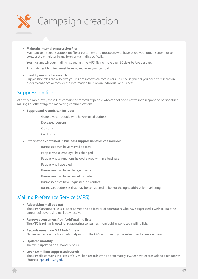

#### **• Maintain internal suppression files**

Maintain an internal suppression file of customers and prospects who have asked your organisation not to contact them – either in any form or via mail specifically.

You must match your mailing list against the MPS file no more than 90 days before despatch.

Any matches identified must be removed from your campaign.

#### **• Identify records to research**

Suppression files can also give you insight into which records or audience segments you need to research in order to enhance or recover the information held on an individual or business.

## Suppression files

At a very simple level, these files contain the records of people who cannot or do not wish to respond to personalised mailings or other targeted marketing communications.

- **• Suppressed records can include:**
	- Gone-aways people who have moved address
	- Deceased persons
	- Opt-outs
	- Credit risks
- **• Information contained in business suppression files can include:**
	- Businesses that have moved address
	- People whose employer has changed
	- People whose functions have changed within a business
	- People who have died
	- Businesses that have changed name
	- Businesses that have ceased to trade
	- Businesses that have requested 'no contact'
	- Businesses addresses that may be considered to be not the right address for marketing

# Mailing Preference Service (MPS)

- **• Advertising mail opt-out** The MPS Consumer File is a list of names and addresses of consumers who have expressed a wish to limit the amount of advertising mail they receive.
- **• Removes consumers from 'cold' mailing lists** The MPS is primarily used for suppressing consumers from 'cold' unsolicited mailing lists.
- **• Records remain on MPS indefinitely** Names remain on the file indefinitely or until the MPS is notified by the subscriber to remove them.
- **• Updated monthly** The file is updated on a monthly basis.
- **• Over 5.9 million suppressed records** The MPS file contains in excess of 5.9 million records with approximately 19,000 new records added each month. (Source: [mpsonline.org.uk](http://www.mpsonline.org.uk))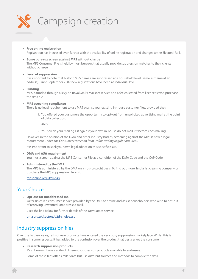

- **• Free online registration** Registration has increased even further with the availability of online registration and changes to the Electoral Roll.
- **• Some bureaux screen against MPS without charge** The MPS Consumer File is held by most bureaux that usually provide suppression matches to their clients without charge.

#### **• Level of suppression**

It is important to note that historic MPS names are suppressed at a household level (same surname at an address). Since September 2007 new registrations have been at individual level.

#### **• Funding**

MPS is funded through a levy on Royal Mail's Mailsort service and a fee collected from licencees who purchase the data file.

#### **• MPS screening compliance**

There is no legal requirement to use MPS against your existing in-house customer files, provided that:

1. You offered your customers the opportunity to opt-out from unsolicited advertising mail at the point of data collection.

AND

2. You screen your mailing list against your own in-house do not mail list before each mailing.

However, in the opinion of the DMA and other industry bodies, screening against the MPS is now a legal requirement under *The Consumer Protection from Unfair Trading Regulations 2008*.

It is important to seek your own legal advice on this specific issue.

**• DMA and ASA requirement**

You must screen against the MPS Consumer File as a condition of the DMA Code and the CAP Code.

**• Administered by the DMA** The MPS is administered by the DMA on a not-for-profit basis. To find out more, find a list cleaning company or purchase the MPS suppression file, visit:

[mpsonline.org.uk/mpsr/](http://www.mpsonline.org.uk/mpsr/ )

# Your Choice

**• Opt-out for unaddressed mail** *Your Choice* is a consumer service provided by the DMA to advise and assist householders who wish to opt-out of receiving unwanted unaddressed mail.

Click the link below for further details of the *Your Choice* service.

[dma.org.uk/sectors/d2d-choice.asp](http://www.dma.org.uk/sectors/d2d-choice.asp )

# Industry suppression files

Over the last few years, rafts of new products have entered the very busy suppression marketplace. Whilst this is positive in some respects, it has added to the confusion over the product that best serves the consumer.

**• Research suppression products**

Most bureaux have a suite of different suppression products available to end-users.

Some of these files offer similar data but use different sources and methods to compile the data.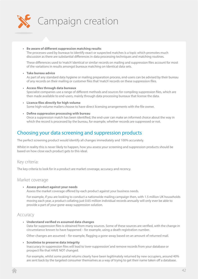

#### **• Be aware of different suppression matching results**

The processes used by bureaux to identify exact or suspected matches is a topic which promotes much discussion as there are substantial differences in data processing techniques and matching routines.

These differences used to 'match' identical or similar records on mailing and suppression files account for most of the variations in results amongst bureaux matching on identical data sets.

#### **• Take bureau advice**

As part of any standard data hygiene or mailing preparation process, end-users can be advised by their bureau of any records on their mailing or customer files that 'match' records on these suppression files.

**• Access files through data bureaux**

Specialist companies use a range of different methods and sources for compiling suppression files, which are then made available to end-users, mainly through data processing bureaux that license the data.

- **• Licence files directly for high volume** Some high-volume mailers choose to have direct licensing arrangements with the file owner.
- **• Define suppression processing with bureau**

Once a suppression match has been identified, the end-user can make an informed choice about the way in which the record is processed by the bureau, for example, whether records are suppressed or not.

## Choosing your data screening and suppression products

The perfect screening product would identify all changes immediately and 100% accurately.

Whilst in reality this is never likely to happen, how you assess your screening and suppression products should be based on how close each product gets to this ideal.

#### Key criteria:

The key criteria to look for in a product are market coverage, accuracy and recency.

## Market coverage

#### **• Assess product against your needs**

Assess the market coverage offered by each product against your business needs.

For example, if you are looking to conduct a nationwide mailing campaign then, with 1.5 million UK households moving each year, a product collating just 0.65 million individual records annually will only ever be able to provide a part of your gone-away suppression solution.

## Accuracy

**• Understand verified vs assumed data changes**

Data for suppression files is obtained from many sources. Some of these sources are verified, with the change in circumstance known to have happened – for example, using a death registration number.

Other changes are assumed – for example, flagging a gone-away based on an amount of returned mail.

#### **• Scrutinise to preserve data integrity**

Inaccuracy in suppression files will lead to 'over-suppression' and remove records from your database or prospect file that HAVE NOT changed.

For example, whilst some postal returns clearly have been legitimately returned by new occupiers, around 40% are sent back by the targeted consumer themselves as a way of trying to get their name taken off a database.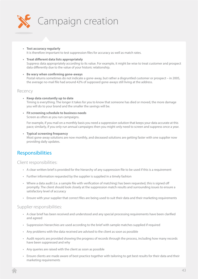

- **• Test accuracy regularly** It is therefore important to test suppression files for accuracy as well as match rates.
- **• Treat different data lists appropriately** Suppress data appropriately according to its value. For example, it might be wise to treat customer and prospect data differently due to the value of your historic relationship.
- **• Be wary when confirming gone-aways** Postal returns sometimes do not indicate a gone-away, but rather a disgruntled customer or prospect – in 2005, the average no-mail file had around 42% of supposed gone-aways still living at the address.

## Recency

- **• Keep data constantly up to date** Timing is everything. The longer it takes for you to know that someone has died or moved, the more damage you will do to your brand and the smaller the savings will be.
- **• Fit screening schedule to business needs** Screen as often as you run campaigns.

For example, if you mail on a monthly basis you need a suppression solution that keeps your data accurate at this pace; similarly, if you only run annual campaigns then you might only need to screen and suppress once a year.

**• Typical screening frequency** Most gone-away solutions are now monthly, and deceased solutions are getting faster with one supplier now providing daily updates.

# Responsibilities

Client responsibilities:

- A clear written brief is provided for the hierarchy of any suppression file to be used if this is a requirement
- Further information requested by the supplier is supplied in a timely fashion
- Where a data audit (i.e. a sample file with verification of matching) has been requested, this is signed off promptly. The client should look closely at the suppression match results and surrounding issues to ensure a satisfactory level of accuracy
- Ensure with your supplier that correct files are being used to suit their data and their marketing requirements

## Supplier responsibilities:

- A clear brief has been received and understood and any special processing requirements have been clarified and agreed
- Suppression hierarchies are used according to the brief with sample matches supplied if required
- Any problems with the data received are advised to the client as soon as possible
- Audit reports are provided showing the progress of records through the process, including how many records have been suppressed and why
- Any queries are raised with the client as soon as possible
- Ensure clients are made aware of best practice together with tailoring to get best results for their data and their marketing requirements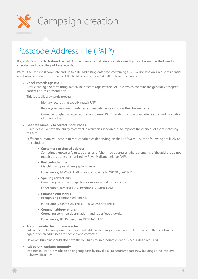

# Postcode Address File (PAF®)

Royal Mail's Postcode Address File (PAF®) is the main external reference table used by most bureaux as the basis for checking and correcting address records.

PAF® is the UK's most complete and up to date addressing database, containing all 28 million known, unique residential and business addresses within the UK. The file also contains 1.4 million business names.

#### **• Check records against PAF**®

After cleaning and formatting, match your records against the PAF® file, which contains the generally accepted correct address presentation.

This is usually a dynamic process:

- Identify records that exactly match PAF®
- Retain your customer's preferred address elements such as their house name
- Correct wrongly-formatted addresses to meet PAF® standard, or to a point where your mail is capable of being delivered

#### **• Get data bureaux to correct inaccuracies**

Bureaux should have the ability to correct inaccuracies in addresses to improve the chances of them matching to PAF®.

Different bureaux will have different capabilities depending on their software – but the following are likely to be included:

**• Customer's preferred address**

Sometimes known as 'vanity addresses' or 'cherished addresses' where elements of the address do not match the address recognised by Royal Mail and held on PAF®.

**• Postcode changes**

Matching old postal geography to new.

For example, 'NEWPORT, MON' should now be 'NEWPORT, GWENT'.

**• Spelling corrections**

Correcting common misspellings, omissions and transpositions.

For example, 'BIMRINGHAM' becomes 'BIRMINGHAM'.

**• Common edit marks**

Recognising common edit marks.

For example, 'STOKE ON TRENT' and 'STOKE-ON-TRENT'.

**• Common abbreviations** Correcting common abbreviations and superfluous words.

For example, 'BRUM' becomes 'BIRMINGHAM'.

#### **• Accommodate client business rules**

PAF will often be incorporated into general address cleaning software and will normally be the benchmark against which addresses are checked and corrected.

However, bureaux should also have the flexibility to incorporate client business rules if required.

#### **• Adopt PAF**® **updates promptly**

Updates to PAF® are made on an ongoing basis by Royal Mail to accommodate new buildings or to improve delivery efficiency.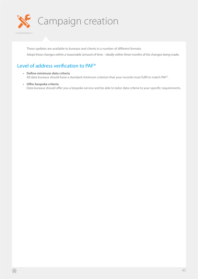

These updates are available to bureaux and clients in a number of different formats. Adopt these changes within a 'reasonable' amount of time – ideally within three months of the changes being made.

# Level of address verification to PAF®

- **• Define minimum data criteria** All data bureaux should have a standard minimum criterion that your records must fulfil to match PAF®.
- **• Offer bespoke criteria** Data bureaux should offer you a bespoke service and be able to tailor data criteria to your specific requirements.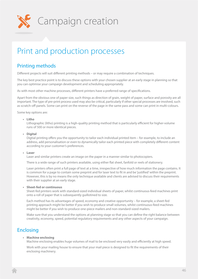

# Print and production processes

# Printing methods

Different projects will suit different printing methods – or may require a combination of techniques.

The key best practice point is to discuss these options with your chosen supplier at an early stage in planning so that you can optimise your campaign development and scheduling appropriately.

As with most other machine processes, different printers have a preferred range of specifications.

Apart from the obvious one of paper size, such things as direction of grain, weight of paper, surface and porosity are all important. The type of pre-print process used may also be critical, particularly if other special processes are involved, such as scratch-off panels. Some can print on the reverse of the page in the same pass and some can print in multi-colours.

Some key options are:

**• Litho**

Lithographic (litho) printing is a high-quality printing method that is particularly efficient for higher-volume runs of 500 or more identical pieces.

**• Digital**

Digtial printing offers you the opportunity to tailor each individual printed item – for example, to include an address, add personalisation or even to dynamically tailor each printed piece with completely different content according to your customer's preferences.

#### **• Laser**

Laser and similar printers create an image on the paper in a manner similar to photocopiers.

There is a wide range of such printers available, using either flat sheet, fanfold or reels of stationery.

Laser printers often print a full page of text at a time, irrespective of how much information the page contains. It is common for a page to contain some preprint and for laser text to fit in and be 'justified' within the preprint. However, this is by no means the only technique available and clients are advised to discuss their requirements with their supplier at an early stage.

**• Sheet-fed or continuous**

Sheet-fed printers work with standard-sized individual sheets of paper, whilst continuous-feed machines print onto a roll of paper that is subsequently guillotined to size.

Each method has its advantages of speed, economy and creative opportunity – for example, a sheet-fed printing approach might be better if you wish to produce small volumes, whilst continuous-feed machines might be better if you wish to produce one-piece mailers and non-standard-sized mailers.

Make sure that you understand the options at planning stage so that you can define the right balance between creativity, economy, speed, potential regulatory requirements and any other aspects of your campaign.

# Enclosing

#### **• Machine enclosing**

Machine enclosing enables huge volumes of mail to be enclosed very easily and efficiently at high speed.

Work with your mailing house to ensure that your mail piece is designed to fit the requirements of their enclosing machinery.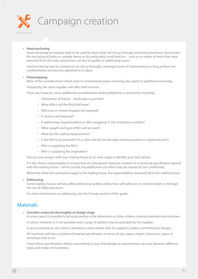

#### **• Hand enclosing**

Hand enclosing techniques tend to be used for items that will not go through enclosing machinery, that involve the enclosing of bulky or variable items, or for particularly small batches – such as re-makes of items that were removed from the main production run due to quality or addressing issues.

Hand enclosing may be carried out on-site or through a managed team of homeworkers as long as there are confidentiality and process agreements in place.

#### **• Polywrapping**

Most of the considerations which exist in conventional paper enclosing also apply to polythene enclosing.

Frequently, the same supplier will offer both services.

There are, however, some additional considerations where polythene is concerned, including:

- Orientation of inserts landscape or portrait?
- What effect will the final fold have?
- Will cross or reverse hoppers be required?
- Is reverse seal required?
- Is addressing required before or after wrapping? Is the orientation suitable?
- What weight and type of film will be used?
- What are the sealing requirements?
- Is the film to be printed? If it is, then will this be through continuous print or registered print?
- Who is supplying the film?
- Who is supplying the origination?

Discuss your project with your mailing house at an early stage to identify your best option.

It is the client's responsibility to ensure that all subsequent materials conform to a technical specification agreed with the mailing house – and to accept any additional cost which may be caused by non-conformity.

Where the client has contracted supply to the mailing house, the responsibilities obviously fall to the mailing house.

#### **• Addressing**

Some mailing houses will also offer addressing facilities either from self adhesive or cheshire labels or through the use of inkjet processes.

For more information on addressing, see the *Postage* section of this guide.

## **Materials**

**• Consider materials thoroughly at design stage**

In some cases it is possible to be quite precise in the dimensions or other criteria covering materials and machines.

In others, however, it is not possible and a range of options may be provided by the supplier.

In all circumstances, the client is advised to check details with his suppliers, before committing to designs.

All machines will have a preferred material specification in terms of size, paper weight, tolerances, types of envelopes and so on.

Check these specifications before committing to your final design as requirements can vary between different types and makes of machinery.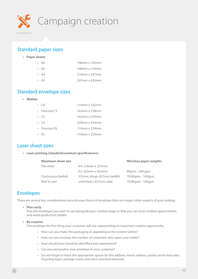

# Standard paper sizes

**• Paper sheets**

| $\cdot$ A6 | 148mm x 105mm |
|------------|---------------|
| $\cdot$ A5 | 148mm x 210mm |
| $\cdot$ A4 | 210mm x 297mm |
| $\cdot$ A3 | 297mm x 420mm |

# Standard envelope sizes

**• Wallets**

| Сĥ                   | 114mm x 162mm |
|----------------------|---------------|
| • Oversize $C_5$     | 162mm x 238mm |
| $\cdot$ C5           | 162mm x 229mm |
| $\cdot$ $\in$ $\sim$ | 229mm x 324mm |
| • Oversize DI        | 114mm x 229mm |
|                      | 110mm x 220mm |
|                      |               |

## Laser sheet sizes

**• Laser printing (standard/common specifications)**

| <b>Maximum sheet size</b> | <b>Min/max paper weights</b> |                   |
|---------------------------|------------------------------|-------------------|
| Flat sheet                | A4: 216mm x 355mm            |                   |
|                           | A3: 363mm x 432mm            | 80gsm - 200 gsm   |
| Continuous fanfold        | 355mm (drop) 457mm (width)   | 70/80gsm - 160gsm |
| Reel to reel              | unlimited x 457mm wide       | 70/80gsm - 160gsm |

# Envelopes

There are several key considerations around your choice of envelope that can impact other aspects of your mailing.

#### **• Plan early**

Plan the envelopes you wish to use alongside your creative stage so that you can seize creative opportunities and avoid production pitfalls.

#### **• Be creative**

The envelope the first thing your customer will see, representing an important creative opportunity:

- How can you make this packaging as appealing as the content within?
- How can you increase the number of customers who open your mailer?
- How should your brand be identified and represented?
- Can you personalise your envelope to your customer?
- Do not forget to leave the appropriate spaces for the address, return address, postal carrier barcodes, recycling logos, postage marks and other practical elements.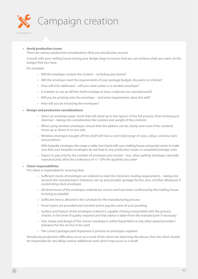

#### **• Avoid production issues**

There are various production considerations that you should plan around.

Consult with your mailing house during your design stage to ensure that you can achieve what you want, on the budget that you have.

#### For example:

- Will the envelope contain the content including any inserts?
- Will the envelope meet the requirements of your postage budget, discounts or scheme?
- How will it be addressed will you need a plain or a window envelope?
- Is it better to use an off-the-shelf envelope or have a tailored one manufactured?
- Will you be printing onto the envelope and what requirements does this add?
- How will you be enclosing the envelopes?

#### **• Design and production considerations**

- Select an envelope paper stock that will stand up to the rigours of the full process, from enclosing to doormat – taking into consideration the number and weight of the contents
- When using window envelopes, ensure that the address can be clearly seen even if the contents move up or down or to one side
- Window envelopes bought off the shelf will have a restricted range of sizes, colour, window sizes and positions.

With bespoke envelopes the range is wider, but check with your mailing house and postal carrier to make sure that your bespoke envelopes do not lead to any production issues or unwanted postage costs

• Expect to pay only for the number of envelopes you receive – but, when getting envelopes specially manufactured, allow for a tolerance of +/- 10% the quantity you order

#### **• Client responsibilities**

The client is responsible for ensuring that:

- Sufficient stocks of envelopes are ordered to meet the minimum mailing requirements taking into account the manufacturer's tolerance, set-up and possible spoilage factors, plus a further allowance if overprinting stock envelopes
- All dimensions of the envelopes ordered are correct and have been confirmed by the mailing house as being acceptable
- Sufficient time is allowed in the schedule for the manufacturing process
- Proof copies are provided and checked and to pay the costs of such proofing
- Surface and texture of the envelopes ordered is capable of being overprinted with the process chosen, to the level of quality required and that advice is taken from the manufacturer if necessary
- Size, shape and design of the chosen envelope is within Royal Mail's or any other postal provider's tolerance for the service to be used
- The correct postage paid impression is printed on envelopes supplied

Should any production difficulties occur as a result of the client not observing the above, then the client should be responsible for any delays and/or additional costs which may occur as a result.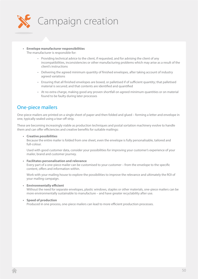

- **• Envelope manufacturer responsibilities** The manufacturer is responsible for:
	- Providing technical advice to the client, if requested, and for advising the client of any incompatibilities, inconsistencies or other manufacturing problems which may arise as a result of the client's instructions
	- Delivering the agreed minimum quantity of finished envelopes, after taking account of industry agreed variations
	- Ensuring that all finished envelopes are boxed, or palletised if of sufficient quantity; that palletised material is secured; and that contents are identified and quantified
	- At no extra charge, making good any proven shortfall on agreed minimum quantities or on material found to be faulty during later processes

# One-piece mailers

One-piece mailers are printed on a single sheet of paper and then folded and glued – forming a letter and envelope in one, typically sealed using a tear-off strip.

These are becoming increasingly viable as production techniques and postal sortation machinery evolve to handle them and can offer efficiencies and creative benefits for suitable mailings:

#### **• Creative possibilities**

Because the entire mailer is folded from one sheet, even the envelope is fully personalisable, tailored and full-colour.

Used with good customer data, consider your possibilities for improving your customer's experience of your mailer, brand and customer journey.

#### **• Facilitates personalisation and relevance**

Every part of a one-piece mailer can be customised to your customer – from the envelope to the specific content, offers and information within.

Work with your mailing house to explore the possibilities to improve the relevance and ultimately the ROI of your mailing campaign.

**• Environmentally efficient**

Without the need for separate envelopes, plastic windows, staples or other materials, one-piece mailers can be more environmentally sustainable to manufacture – and have greater recyclability after use.

#### **• Speed of production**

Produced in one process, one-piece mailers can lead to more efficient production processes.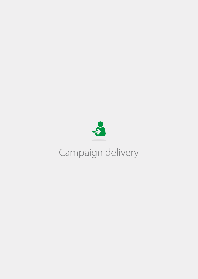

# Campaign delivery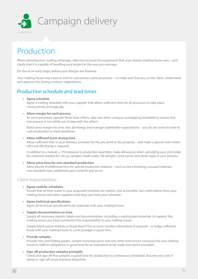

# Production

When planning your mailing campaign, take into account the equipment that your chosen mailing house uses – and clarify that it is capable of handling your project in the way you envisage.

Do this at an early stage, before your designs are finalised.

Your mailing house may need or wish to subcontract some processes – so make sure that you, as the client, understand and approve this during contract negotiations.

# Production schedule and lead times

#### **• Agree schedule**

Agree a mailing schedule with your supplier that allows sufficient time for all processes to take place consecutively and logically.

#### **• Allow margin for each process**

As some processes operate faster than others, take care when using an overlapping timetable to ensure that one process is not wildly out of step with the others.

Build some margin for error into all timings and manage stakeholder expectations – you do not want to have to rush production to meet deadlines.

#### **• Allow sufficient print drying time**

Allow sufficient time in your delivery schedule for the pre-print to dry properly – and make a special note where infra-red (IR) drying is required.

In addition to a natural +/- 5% tolerance in production quantities, make allowances when calculating your print order for materials needed for set-up, samples made ready, AB samples, seed names and other steps in your process.

#### **• Allow extra time for non-standard production**

Allow plenty of additional time for special production features – such as extra finishing, unusual materials, non-standard sizes, additional pack contents and so on.

## Client responsibilities

**• Agree realistic schedules**

Ensure that all time scales in your proposed schedule are realistic and achievable. Get confirmation from your mailing house and other suppliers that they can meet your schedule.

# **• Agree technical specifications**

Agree all technical specifications for materials with your mailing house.

#### **• Supply documentation on time**

Supply all necessary reports, labels and documentation, including a mailing plan/schedule, to support the mailing unless you have contracted this responsibility to your mailing house.

Supply blank postal dockets or Royal Mail *E\*Pro* account number information if required – or lodge sufficient funds with your mailing house to cover postage in good time.

#### **• Provide samples**

Provide trim and folding guides, sample enclosing packs and any other instructions necessary for your mailing house to fulfil its obligations in good time for an evaluation to be made and advice provided.

#### **• Sign off production samples promptly**

Check and sign off first samples in good time for production to continue as scheduled. Assume any costs if delays in sign off cause machine downtime.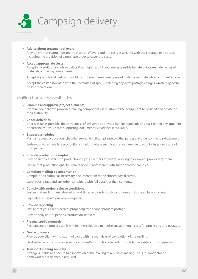

#### **• Advise about treatment of overs**

Provide prompt instructions on the disposal of overs and the costs associated with their storage or disposal, including the provision of a purchase order to cover the costs.

#### **• Accept appropriate costs**

Accept any additional costs or delays that might result if you are responsible for late or incorrect deliveries of materials or mailing components.

Accept any additional costs you might incur through using unapproved or damaged materials against best advice.

Accept the costs associated with the recreation of spoils, including any extra postage charges which may occur on late recreations.

### Mailing house responsibilities

#### **• Examine and approve project elements**

Examine your client's proposed mailing components in relation to the equipment to be used and advise on their suitability.

#### **• Check deliveries**

Check, as far as possible, the correctness of delivered addressed materials and advise your client of any apparent discrepancies. Ensure that supporting documentary evidence is available.

#### **• Support schedules**

Maintain agreed production schedules, subject to full compliance by other parties and other contractual disclaimers.

Endeavour to retrieve late production situations where such occurrences are due to your failings – or those of third parties.

#### **• Provide production samples**

Provide samples of first-off production to your client for approval, working to examples provided by them.

Ensure that production quality is maintained in accordance with such approved samples.

#### **• Complete mailing documentation**

Complete and submit all necessary documentation to the chosen postal carrier.

Label bags, cages and any other containers with full details of their contents.

#### **• Comply with project release conditions**

Ensure that mailings are released only at times and under such conditions as stipulated by your client.

Sign release instructions where required.

#### **• Provide reporting**

Ensure that your client receives proper digital or paper proof of postage.

Provide daily and/or periodic production statistics.

**• Process spoils promptly**

Recreate and re-process spoils within timescales that minimise any additional costs for processing and postage.

#### **• Deal with overs**

Provide your client with a count of overs within seven days of completion of the mailing.

Deal with overs in accordance with your client's instructions, including confidential destruction if requested.

#### **• Transport mailing securely**

Arrange suitable and secure transportation of the mailing to any other mailing site, sub-contractor or homeworker's residence, if required.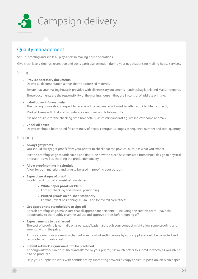

# Quality management

Set-up, proofing and spoils all play a part in mailing house operations.

Give stock levels, timings, recreation and costs particular attention during your negotiations for mailing house services.

Set-up

#### **• Provide necessary documents**

Deliver all documentation alongside the addressed material.

Ensure that your mailing house is provided with all necessary documents – such as bag labels and Mailsort reports.

These documents are the responsibility of the mailing house if they are in control of address printing.

**• Label boxes informatively**

The mailing house should expect to receive addressed material boxed, labelled and identified correctly.

Mark all boxes with first and last reference numbers and total quantity.

It is not possible for the checking of 'in box' details, unless first and last figures indicate some anomaly.

#### **• Check all boxes**

Deliveries should be checked for continuity of boxes, contiguous ranges of sequence number and total quantity.

## Proofing

#### **• Always get proofs**

You should always get proofs from your printer to check that the physical output is what you expect.

Use the proofing stage to understand and fine-tune how the piece has translated from virtual design to physical product – as well as checking the production quality.

- **• Allow proofing time in schedule** Allow for both materials and time to be used in proofing your output.
- **• Expect two stages of proofing** Proofing will normally consist of two stages:
	- **• White paper proofs or PDFs** For text checking and general positioning.
	- **• Printed proofs on finished stationery** For final, exact positioning, *in situ* – and for overall correctness.
- **• Get appropriate stakeholders to sign-off** At each proofing stage, make sure that all appropriate personnel – including the creative team – have the opportunity to thoroughly examine, adjust and approve proofs before signing off.
- **• Expect amends to be charged** The cost of proofing is normally on a 'per page' basis – although your contract might allow some proofing and amends within the price.

Author's corrections are usually charged as extra – but setting errors by your supplier should be corrected and re-proofed at no extra cost.

#### **• Submit artwork as you want it to be produced**

Although artwork can be re-sized and altered by your printer, it is much better to submit it exactly as you intend it to be produced.

Help your supplier to work with confidence by submitting artwork as 'copy to size', in position, on plain paper.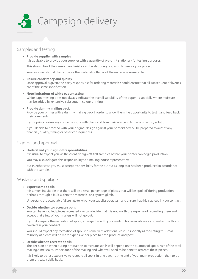

## Samples and testing

#### **• Provide supplier with samples**

It is advisable to provide your supplier with a quantity of pre-print stationery for testing purposes.

This should be of the same characteristics as the stationery you wish to use for your project.

Your supplier should then approve the material or flag up if the material is unsuitable.

#### **• Ensure consistency and quality**

Once approval is given, the party responsible for ordering materials should ensure that all subsequent deliveries are of the same specification.

**• Note limitations of white paper testing** White paper testing does not always indicate the overall suitability of the paper – especially where moisture may be added by extensive subsequent colour printing.

#### **• Provide dummy mailing pack**

Provide your printer with a dummy mailing pack in order to allow them the opportunity to test it and feed back their comments.

If your printer raises any concerns, work with them and take their advice to find a satisfactory solution.

If you decide to proceed with your original design against your printer's advice, be prepared to accept any financial, quality, timing or other consequences.

## Sign-off and approval

**• Understand your sign-off responsibilities**

It is usual to expect you, as the client, to sign off first samples before your printer can begin production.

You may also delegate this responsibility to a mailing house representative.

But in either case you must accept responsibility for the output as long as it has been produced in accordance with the sample.

## Wastage and spoilage

#### **• Expect some spoils**

It is almost inevitable that there will be a small percentage of pieces that will be 'spolied' during production – perhaps through a fault within the materials, or a system glitch.

Understand the acceptable failure rate to which your supplier operates – and ensure that this is agreed in your contract.

#### **• Decide whether to recreate spoils**

You can have spoiled pieces recreated – or can decide that it is not worth the expense of recreating them and accept that a few of your mailers will not go out.

If you do require the recreation of spoils, arrange this with your mailing house in advance and make sure this is covered in your contract.

You should expect any recreation of spoils to come with additional cost – especially as recreating this small minority of pieces will be more expensive per piece to both produce and post.

#### **• Decide when to recreate spoils**

The decision on when during production to recreate spoils will depend on the quantity of spoils, size of the total mailing, time scales, importance of the mailing and what will need to be done to recreate these pieces.

It is likely to be less expensive to recreate all spoils in one batch, at the end of your main production, than to do them on, say, a daily basis.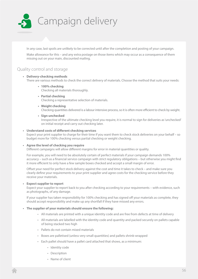

In any case, last spoils are unlikely to be corrected until after the completion and posting of your campaign.

Make allowance for this – and any extra postage on those items which may occur as a consequence of them missing out on your main, discounted mailing.

## Quality control and storage

#### **• Delivery-checking methods**

There are various methods to check the correct delivery of materials. Choose the method that suits your needs:

- **• 100% checking** Checking all materials thoroughly.
- **• Partial checking** Checking a representative selection of materials.
- **• Weight checking** Checking quantities delivered is a labour intensive process, so it is often more efficient to check by weight.
- **• Sign unchecked**

Irrespective of the ultimate checking level you require, it is normal to sign for deliveries as 'unchecked' on initial receipt and carry out checking later.

#### **• Understand costs of different checking services**

Expect your print supplier to charge for their time if you want them to check stock deliveries on your behalf – so budget more for 100% checking versus partial checking or weight checking.

#### **• Agree the level of checking you require**

Different campaigns will allow different margins for error in material quantities or quality.

For example, you will need to be absolutely certain of perfect materials if your campaign demands 100% accuracy – such as a financial service campaign with strict regulatory obligations – but otherwise you might find it more efficient to only have a few sample boxes checked and accept a small margin of error.

Offset your need for perfect stock delivery against the cost and time it takes to check – and make sure you clearly define your requirements to your print supplier and agree costs for the checking service before they receive your materials.

#### **• Expect supplier to report**

Expect your supplier to report back to you after checking according to your requirements – with evidence, such as photographs, of any damage.

If your supplier has taken responsibility for 100% checking and has signed off your materials as complete, they should accept responsibility and make up any shortfall if they have missed any errors.

#### **• The supplier of your materials should ensure the following:**

- All materials are printed with a unique identity code and are free from defects at time of delivery
- All materials are labelled with the identity code and quantity and packed securely on pallets capable of being stacked two high
- Pallets do not contain mixed materials
- Boxes are palletised (unless very small quantities) and pallets shrink-wrapped
- Each pallet should have a pallet card attached that shows, as a minimum:
	- Identity code
	- Description
	- Name of client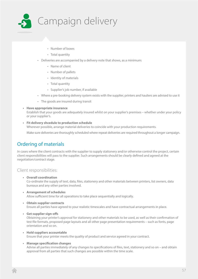

- Number of boxes
- Total quantity
- Deliveries are accompanied by a delivery note that shows, as a minimum:
	- Name of client
	- Number of pallets
	- Identity of materials
	- Total quantity
	- Supplier's job number, if available
- Where a pre-booking delivery system exists with the supplier, printers and hauliers are advised to use it
- The goods are insured during transit
- **• Have appropriate insurance**

Establish that your goods are adequately insured whilst on your supplier's premises – whether under your policy or your supplier's.

**• Fit delivery shcedule to production schedule**

Wherever possible, arrange material deliveries to coincide with your production requirements.

Make sure deliveries are thoroughly scheduled where repeat deliveries are required throughout a longer campaign.

# Ordering of materials

In cases where the client contracts with the supplier to supply stationery and/or otherwise control the project, certain client responsibilities will pass to the supplier. Such arrangements should be clearly defined and agreed at the negotiation/contract stage.

## Client responsibilities:

**• Overall coordination**

Co-ordinate the supply of text, data, files, stationery and other materials between printers, list owners, data bureaux and any other parties involved.

- **• Arrangement of schedules** Allow sufficient time for all operations to take place sequentially and logically.
- **• Obtain supplier contracts** Ensure all parties have agreed to your realistic timescales and have contractual arrangements in place.
- **• Get supplier sign-offs**

Obtaining your printer's approval for stationery and other materials to be used, as well as their confirmation of test file formats, proposed page layouts and all other page presentation requirements – such as fonts, page orientation and so on.

- **• Hold suppliers accountable** Ensure that your printer meets the quality of product and service agreed in your contract.
- **• Manage specification changes**

Advise all parties immediately of any changes to specifications of files, text, stationery and so on – and obtain approval from all parties that such changes are possible within the time scale.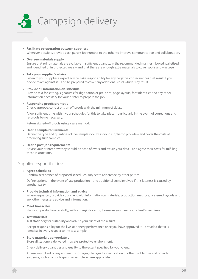

- **• Facilitate co-operation between suppliers** Wherever possible, provide each party's job number to the other to improve communication and collaboration.
- **• Oversee materials supply** Ensure that print materials are available in sufficient quantity, in the recommended manner – boxed, palletised and identified or in protected reels – and that there are enough extra materials to cover spoils and wastage.
- **• Take your supplier's advice**

Listen to your supplier's expert advice. Take responsibility for any negative consequences that result if you decide to act against it – and be prepared to cover any additional costs which may result.

- **• Provide all information on-schedule** Provide text for setting, signatures for digitisation or pre-print, page layouts, font identities and any other information necessary for your printer to prepare the job.
- **• Respond to proofs promptly**

Check, approve, correct or sign off proofs with the minimum of delay.

Allow sufficient time within your schedules for this to take place – particularly in the event of corrections and re-proofs being necessary.

Return signed-off proofs using a safe method.

#### **• Define sample requirements**

Define the type and quantities of live samples you wish your supplier to provide – and cover the costs of producing such samples.

**• Define post-job requirements** Advise your printer how they should dispose of overs and return your data – and agree their costs for fulfilling these instructions.

## Supplier responsibilities:

**• Agree schedules**

Confirm acceptance of proposed schedules, subject to adherence by other parties.

Define options in the event of late production – and additional costs involved if this lateness is caused by another party.

**• Provide technical information and advice**

Where requested, provide your client with information on materials, production methods, preferred layouts and any other necessary advice and information.

**• Meet timescales**

Plan your production carefully, with a margin for error, to ensure you meet your client's deadlines.

#### **• Test materials**

Test stationery for suitability and advise your client of the results.

Accept responsibility for the live stationery performance once you have approved it – provided that it is identical in every respect to the test sample.

#### **• Store materials aprropriately**

Store all stationery delivered in a safe, protective environment.

Check delivery quantities and quality to the extent specified by your client.

Advise your client of any apparent shortages, changes to specification or other problems – and provide evidence, such as a photograph or sample, where approriate.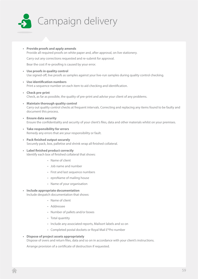

**• Provide proofs and apply amends** Provide all required proofs on white paper and, after approval, on live stationery.

Carry out any corrections requested and re-submit for approval.

Bear the cost if re-proofing is caused by your error.

- **• Use proofs in quality control** Use signed-off, live proofs as samples against your live-run samples during quality control checking.
- **• Use identification numbers** Print a sequence number on each item to aid checking and identification.
- **• Check pre-print** Check, as far as possible, the quality of pre-print and advise your client of any problems.
- **• Maintain thorough quality control** Carry out quality control checks at frequent intervals. Correcting and replacing any items found to be faulty and document this process.
- **• Ensure data security** Ensure the confidentiality and security of your client's files, data and other materials whilst on your premises.
- **• Take responsibility for errors** Remedy any errors that are your responsibility or fault.
- **• Pack finished output securely** Securely pack, box, palletise and shrink wrap all finished collateral.
- **• Label finished product correctly** Identify each box of finished collateral that shows:
	- Name of client
	- Job name and number
	- First and last sequence numbers
	- eproName of mailing house
	- Name of your organisation

#### **• Include appropriate documentation**

Include despatch documentation that shows:

- Name of client
- Addressee
- Number of pallets and/or boxes
- Total quantity
- Include any associated reports, Mailsort labels and so on
- Completed postal dockets or Royal Mail *E\*Pro* number
- **• Dispose of project assets appropriately** Dispose of overs and return files, data and so on in accordance with your client's instructions.

Arrange provision of a certificate of destruction if requested.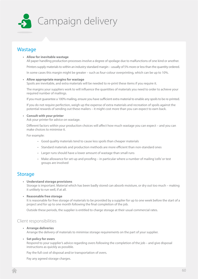

# **Wastage**

#### **• Allow for inevitable wastage**

All paper handling production processes involve a degree of spoilage due to malfunctions of one kind or another. Printers supply materials to within an industry standard margin – usually of 5% more or less than the quantity ordered. In some cases this margin might be greater – such as four-colour overprinting, which can be up to 10%.

#### **• Allow appropriate margins for wastage**

Spoils are inevitable, and extra materials will be needed to re-print these items if you require it.

The margins your suppliers work to will influence the quantities of materials you need to order to achieve your required number of mailings.

If you must guarantee a 100% mailing, ensure you have sufficient extra material to enable any spoils to be re-printed.

If you do not require perfection, weigh up the expense of extra materials and recreation of spoils against the potential rewards of sending out these mailers – it might cost more than you can expect to earn back.

#### **• Consult with your printer**

Ask your printer for advice on wastage.

Different factors within your production choices will affect how much wastage you can expect – and you can make choices to minimise it.

For example:

- Good quality materials tend to cause less spoils than cheaper materials
- Standard materials and production methods are more efficient than non-standard ones
- Larger runs should have a lower amount of wastage than small runs
- Make allowance for set-up and proofing in particular where a number of mailing 'cells' or test groups are involved

## **Storage**

**• Understand storage provisions**

Storage is important. Material which has been badly stored can absorb moisture, or dry out too much – making it unlikely to run well, if at all.

**• Reasonable free storage**

It is reasonable for free storage of materials to be provided by a supplier for up to one week before the start of a project and for up to one month following the final completion of the job.

Outside these periods, the supplier is entitled to charge storage at their usual commercial rates.

## Client responsibilities

**• Arrange deliveries**

Arrange the delivery of materials to minimise storage requirements on the part of your supplier.

#### **• Set policy for overs**

Respond to your supplier's advice regarding overs following the completion of the job – and give disposal instructions as quickly as possible.

Pay the full cost of disposal and/or transportation of overs.

Pay any agreed storage charges.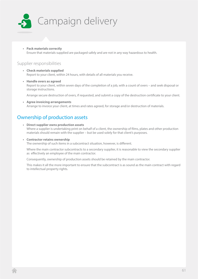

**• Pack materials correctly** Ensure that materials supplied are packaged safely and are not in any way hazardous to health.

## Supplier responsibilities

- **• Check materials supplied** Report to your client, within 24 hours, with details of all materials you receive.
- **• Handle overs as agreed** Report to your client, within seven days of the completion of a job, with a count of overs – and seek disposal or storage instructions.

Arrange secure destruction of overs, if requested, and submit a copy of the destruction certificate to your client.

**• Agree invoicing arrangements** Arrange to invoice your client, at times and rates agreed, for storage and/or destruction of materials.

# Ownership of production assets

- **• Direct supplier owns production assets** Where a supplier is undertaking print on behalf of a client, the ownership of films, plates and other production materials should remain with the supplier – but be used solely for that client's purposes.
- **• Contractor retains ownership**

The ownership of such items in a subcontract situation, however, is different.

Where the main contractor subcontracts to a secondary supplier, it is reasonable to view the secondary supplier as effectively an employee of the main contractor.

Consequently, ownership of production assets should be retained by the main contractor.

This makes it all the more important to ensure that the subcontract is as sound as the main contract with regard to intellectual property rights.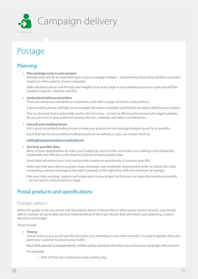

# Postage

# Planning

**• Plan postage early in your project**

Postage costs will be an important part of your campaign budget – and planning these early will have a positive impact on other aspects of your campaign.

Make decisions about mail formats and weights at an early stage in your planning process to give yourself the greatest scope for creativity and ROI.

#### **• Understand delivery providers**

There are numerous mail delivery companies, each with a range of services and products.

A good mailing house will help you to navigate the options available and find the one that is ideal for your project.

This is a decision that is potentially worth a lot of money – as well as affecting the amount of budget available for you to invest in your preferred creative, formats, materials and other considerations.

#### **• Consult your mailing house**

Use a good accredited mailing house to help your production and postage budgets go as far as possible.

Royal Mail has list of accredited mailing houses on its website, or you can contact them at:

[mailinghouseservice@your.royalmail.com](mailto:mailinghouseservice@your.royalmail.com )

#### **• Use best possible data**

Many of your opportunities to make your budget go much further and make your mailings more impactful, sustainable and effective come down to having the best possible data.

Good data will reduce your costs and provide maximum opportunity to increase your ROI.

Make sure that your data is accurate, clean, thorough and excellently segmented in order to deliver the most compelling, relevant message to the right customer, at the right time, with the minimum of wastage.

Plan your data sourcing, hygiene and usage early in your project so that you can enjoy the maximum benefits – do not leave it until production stage.

# Postal products and specifications

## Postage options

Whilst this guide is not concerned with the precise details of Royal Mail or other postal carriers' services, you should seek to mainain an up-to-date general understanding of the major factors that will impact your planning, creative decisions and budget.

These include:

**• Timing**

Just as much as you would specify timing for your marketing in any other channel, it is easy to specify when you want your customer to recieve your mailer.

Royal Mail operates to independently-verified quality standards that allow you to time your campaign with precision.

For example:

• 94% of First Class mail arrives next working day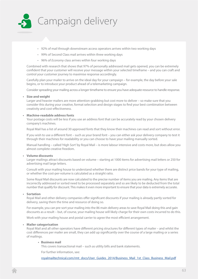

- 92% of mail through downstream access operators arrives within two working days
- 99% of Second Class mail arrives within three working days
- 96% of *Economy* class arrives within four working days

Combined with research that shows that 97% of personally addressed mail gets opened, you can be extremely confident that your customer will receive your message within your selected timeframe – and you can craft and control your customer journey to maximise response accordingly.

Carefully plan your mailer to arrive on the ideal day for your campaign – for example, the day before your sale begins, or to introduce your product ahead of a telemarketing campaign.

Consider spreading your mailing across a longer timeframe to ensure you have adequate resource to handle response.

#### **• Size and weight**

Larger and heavier mailers are more attention-grabbing but cost more to deliver – so make sure that you consider this during your creative, format selection and design stages to find your best combination between creativity and cost-effectiveness.

#### **• Machine-readable address fonts**

Your postage costs will be less if you use an address font that can be accurately read by your chosen delivery company's machines.

Royal Mail has a list of around 30 approved fonts that they know their machines can read and sort without error.

If you wish to use a different font – such as your brand font – you can either ask your delivery company to test it through their machines for readability or you can choose to have your mailing manually sorted.

Manual handling – called 'High Sort' by Royal Mail – is more labour intensive and costs more, but does allow you almost complete creative freedom.

#### **• Volume discounts**

Larger mailings attract discounts based on volume – starting at 1000 items for advertising mail letters or 250 for advertising mail large letters.

Consult with your mailing house to understand whether there are distinct price bands for your type of mailing, or whether the cost-per-volume is calculated as a straight ratio.

Some Royal Mail discounts are now calculated to the precise number of items you are mailing. Any items that are incorrectly addressed or sorted need to be processed separately and so are likely to be deducted from the total number that qualify for discount. This makes it even more important to ensure that your data is extremely accurate.

#### **• Sortation**

Royal Mail and other delivery companies offer significant discounts if your mailing is already partly sorted for delivery, saving them the time and resource of doing so.

For example, you can pre-sort your mailing into the 86 main delivery areas to save Royal Mail doing this and gain discounts as a result – but, of course, your mailing house will likely charge for their own costs incurred to do this.

Work with your mailing house and postal carrier to agree the most efficient arrangement.

#### **• Mailer categorisation**

Royal Mail and all other operators have different pricing structures for different types of mailer – and whilst the cost differences per mailer are small, they can add up significantly over the course of a large mailing or a series of mailings.

#### **• Business mail**

This covers transactional mail – such as utility bills and bank statements.

For further information, see:

[royalmailtechnical.com/rmt\\_docs/User\\_Guides\\_2014/Business\\_Mail\\_1st\\_Class\\_Business\\_Mail.pdf](http://www.royalmailtechnical.com/rmt_docs/User_Guides_2014/Business_Mail_1st_Class_Business_Mail.pdf)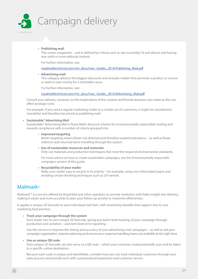

#### **• Publishing mail**

This covers magazines – and is defined by criteria such as size (currently C4 and above) and having one-sixth or more editorial content.

For further information, see:

[royalmailtechnical.com/rmt\\_docs/User\\_Guides\\_2014/Publishing\\_Mail.pdf](http://www.royalmailtechnical.com/rmt_docs/User_Guides_2014/Publishing_Mail.pdf )

**• Advertising mail**

This category attracts the biggest discounts and includes mailers that promote a product or service or seek to raise money for a charitable cause.

For further information, see:

[royalmailtechnical.com/rmt\\_docs/User\\_Guides\\_2014/Advertising\\_Mail.pdf](http://www.royalmailtechnical.com/rmt_docs/User_Guides_2014/Advertising_Mail.pdf )

Consult your delivery company on the implications of the content and format decisions you make as this can affect postage costs.

For example, if you send a regular marketing mailer to a certain set of customers, it might be considered a newsletter and therefore be priced as publishing mail.

#### *• Sustainable® Advertising Mail*

Sustainable® Advertising Mail is Royal Mail's discount scheme for environmentally responsible mailing and rewards compliance with a number of criteria grouped into:

**• Improved targeting**

Better targeting means fewer mis-directed and therefore wasted mail pieces – as well as fewer redirects and returned items travelling through the system.

**• Use of sustainable resources and materials** Only use materials and production techniques that meet the required environmental standards.

For more advice on how to create sustainable campaigns, see the *Environmentally responsible campaigns* section of this guide.

**• Recyclability of your mailer**

Make your mailer easy to recycle in its entirity – for example, using non-chlorinated paper and avoiding certain finishing techniques such as UV varnish.

# Mailmark™

Mailmark™ is a service offered by Royal Mail and other operators to provide marketers with fuller insight into delivery, making it easier and more accurate to plan your follow-up activity to maximise effetiveness.

It applies a unique 2D barcode to each individual mail item, with several key benefits that support one-to-one marketing best practice:

**• Track your campaign through the system**

Each mailer has its own unique 2D barcode, giving you batch-level tracking of your campaign through production and sortation – and item-level error reporting.

Use this service to improve the timing and accuracy of your advertising mail campaigns – as well as aid your campaign organisation, improve planning and ensure your response handling teams are available at the right time.

#### **• Use as unique QR code**

Each unique 2D barcode can also serve as a QR code – which your customer could potentially scan and be taken to a specific online destination.

Because each code is unique and identifiable, consider how you can track individual customers through your sales process and provide each with a personalised experience and customer service.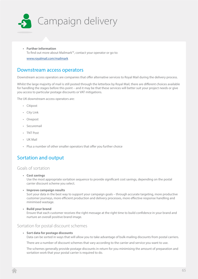

**• Further information** To find out more about Mailmark™, contact your operator or go to:

[www.royalmail.com/mailmark](http://www.royalmail.com/mailmark )

## Downstream access operators

Downstream access operators are companies that offer alternative services to Royal Mail during the delivery process.

Whilst the large majority of mail is still posted through the letterbox by Royal Mail, there are different choices available for handling the stages before this point – and it may be that these services will better suit your project needs or give you access to particular postage discounts or VAT mitigations.

The UK downstream access operators are:

- Citipost
- City Link
- Onepost
- Securemail
- TNT Post
- UK Mail
- Plus a number of other smaller operators that offer you further choice

# Sortation and output

## Goals of sortation

**• Cost savings**

Use the most appropriate sortation sequence to provide significant cost savings, depending on the postal carrier discount scheme you select.

**• Improve campaign results**

Sort your data in the best way to support your campaign goals – through accurate targeting, more productive customer journeys, more efficient production and delivery processes, more effective response handling and minimised wastage.

**• Build your brand**

Ensure that each customer receives the right message at the right time to build confidence in your brand and nurture an overall positive brand image.

## Sortation for postal discount schemes

#### **• Sort data for postage discounts**

Data can be sorted in ways that will allow you to take advantage of bulk-mailing discounts from postal carriers.

There are a number of discount schemes that vary according to the carrier and service you want to use.

The schemes generally provide postage discounts in return for you minimising the amount of preparation and sortation work that your postal carrier is required to do.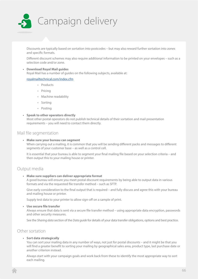

Discounts are typically based on sortation into postcodes – but may also reward further sortation into zones and specific formats.

Different discount schemes may also require additional information to be printed on your envelopes – such as a selection code and/or zone.

#### **• Download Royal Mail guides**

Royal Mail has a number of guides on the following subjects, available at:

#### [royalmailtechnical.com/index.cfm](http://www.royalmailtechnical.com/index.cfm )

- Products
- Pricing
- Machine readability
- Sorting
- Posting

#### **• Speak to other operators directly**

Most other postal operators do not publish technical details of their sortation and mail presentation requirements – you will need to contact them directly.

### Mail file segmentation

#### **• Make sure your bureau can segment**

When carrying out a mailing, it is common that you will be sending different packs and messages to different segments of your customer base – as well as a control cell.

It is essential that your bureau is able to segment your final mailing file based on your selection criteria – and then output this to your mailing house or printer.

## Output media

#### **• Make sure suppliers can deliver appropriate format**

A good bureau will ensure you meet postal discount requirements by being able to output data in various formats and via the requested file transfer method – such as SFTP.

Give early consideration to the final output that is required – and fully discuss and agree this with your bureau and mailing house or printer.

Supply test data to your printer to allow sign-off on a sample of print.

#### **• Use secure file transfer**

Always ensure that data is sent via a secure file transfer method – using appropriate data encryption, passwords and other security measures.

See the *Sharing data* section of the *Data guide* for details of your data transfer obligations, options and best practice.

## Other sortation

#### **• Sort data strategically**

You can sort your mailing data in any number of ways, not just for postal discounts – and it might be that you will find a greater benefit to sorting your mailing by geographical sales area, product type, last purchase date or another criterion instead.

Always start with your campaign goals and work back from these to identify the most appropriate way to sort each mailing.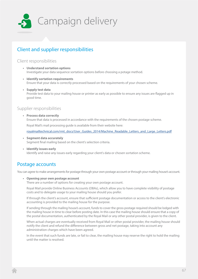

# Client and supplier responsibilities

## Client responsibilities

- **• Understand sortation options** Investigate your data sequence sortation options before choosing a potage method.
- **• Identify sortation requirements** Ensure that your data is correctly processed based on the requirements of your chosen scheme.
- **• Supply test data** Provide test data to your mailing house or printer as early as possible to ensure any issues are flagged up in good time.

## Supplier responsibilities

**• Process data correctly** Ensure that data is processed in accordance with the requirements of the chosen postage scheme.

Royal Mail's mail processing guide is available from their website here:

[royalmailtechnical.com/rmt\\_docs/User\\_Guides\\_2014/Machine\\_Readable\\_Letters\\_and\\_Large\\_Letters.pdf](http://www.royalmailtechnical.com/rmt_docs/User_Guides_2014/Machine_Readable_Letters_and_Large_Letters.pdf)

- **• Segment data accurately** Segment final mailing based on the client's selection criteria.
- **• Identify issues early** Identify and raise any issues early regarding your client's data or chosen sortation scheme.

# Postage accounts

You can agree to make arrangements for postage through your own postage account or through your mailing house's account.

**• Opening your own postage account**

There are a number of options for creating your own postage account.

Royal Mail provide Online Business Accounts (OBAs), which allow you to have complete visibility of postage costs and to delegate usage to your mailing house should you prefer.

If through the client's account, ensure that sufficient postage documentation or access to the client's electronic accounting is provided to the mailing house for the purpose.

If sending through the mailing house's account, funds to cover the gross postage required should be lodged with the mailing house in time to clear before posting date. In this case the mailing house should ensure that a copy of the postal documentation, authenticated by the Royal Mail or any other postal provider, is given to the client.

When actual charges are eventually received from Royal Mail or other postal provider, the mailing house should notify the client and refund the difference between gross and net postage, taking into account any administration charges which have been agreed.

In the event that such funds are late, or fail to clear, the mailing house may reserve the right to hold the mailing until the matter is resolved.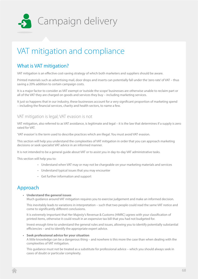

# VAT mitigation and compliance

# What is VAT mitigation?

VAT mitigation is an effective cost-saving strategy of which both marketers and suppliers should be aware.

Printed materials such as advertising mail, door drops and inserts can potentially fall under the 'zero rate' of VAT – thus saving a 20% addition to certain campaign costs.

It is a major factor to consider as VAT exempt or 'outside the scope' businesses are otherwise unable to reclaim part or all of the VAT they are charged on goods and services they buy – including marketing services.

It just so happens that in our industry, these businesses account for a very significant proportion of marketing spend – including the financial services, charity and health sectors, to name a few.

## VAT mitigation is legal; VAT evasion is not

VAT mitigation, also referred to as VAT avoidance, is legitimate and legal – it is the law that determines if a supply is zero rated for VAT.

'VAT evasion' is the term used to describe practices which are illegal. You must avoid VAT evasion.

This section will help you understand the complexities of VAT mitigation in order that you can approach marketing decisions or seek specialist VAT advice in an informed manner.

It is not intended to be a general guide about VAT or to assist you in day-to-day VAT administrative tasks.

This section will help you to:

- Understand when VAT may or may not be chargeable on your marketing materials and services
- Understand typical issues that you may encounter
- Get further information and support

# Approach

**• Understand the general issues**

Much guidance around VAT mitigation requires you to exercise judgement and make an informed decision.

This inevitably leads to variations in interpretation – such that two people could read the same VAT notice and come to significantly different conclusions.

It is extremely important that Her Majesty's Revenue & Customs (HMRC) agrees with your classification of printed items, otherwise it could result in an expensive tax bill that you had not budgeted for.

Invest enough time to understand the general rules and issues, allowing you to identify potentially substantial efficiencies – and to identify the appropriate expert advice.

#### **• Seek professional advice for your situation**

A little knowledge can be a dangerous thing – and nowhere is this more the case than when dealing with the complexities of VAT mitigation.

This guidance must not be treated as a substitute for professional advice – which you should always seek in cases of doubt or particular complexity.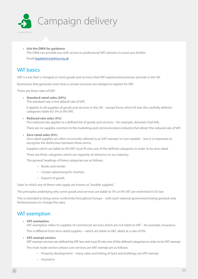

**• Ask the DMA for guidance** The DMA can provide you with access to professional VAT advisers to assist you further. Email [legaladvice@dma.org.uk](mailto:legaladvice@dma.org.uk)

# VAT basics

VAT is a tax that is charged on most goods and services that VAT-registered businesses provide in the UK.

Businesses that generate more than a certain turnover are obliged to register for VAT.

There are three rates of VAT:

**• Standard rated sales (20%)**

The standard rate is the default rate of VAT.

It applies to all supplies of goods and services in the UK – except those which fit into the carefully defined categories liable for 5% or 0% VAT.

#### **• Reduced rate sales (5%)**

The reduced rate applies to a defined list of goods and services – for example, domestic fuel bills.

There are no supplies common to the marketing and communications industry that attract the reduced rate of VAT.

#### **• Zero rated sales (0%)**

Zero rated supplies are often incorrectly referred to as 'VAT exempt' or 'non-vatable' – but it is important to recognise the distinction between these terms.

Supplies which are liable to 0% VAT must fit into one of the defined categories in order to be zero rated.

There are three categories which are regularly of relevance to our industry.

The general headings of these categories are as follows:

- Books and similar
- Certain advertising for charities
- Exports of goods

Sales to which any of these rates apply are known as "taxable supplies".

The principles underlying why some goods and services are liable to 5% or 0% VAT are enshrined in EU law.

This is intended to bring some conformity throughout Europe – with each national government being granted only limited powers to change the rates.

# VAT exemption

#### **• VAT exemption**

VAT exemption refers to supplies of commercial services which are not liable to VAT – for example, insurance.

This is different from zero-rated supplies – which are liable to VAT, albeit at a rate of 0%.

#### **• VAT-exempt sectors**

VAT-exempt services are defined by VAT law and must fit into one of the defined categories in order to be VAT exempt.

The main trade sectors whose core services are VAT exempt are as follows:

- Property development many sales and letting of land and buildings are VAT exempt
- Insurance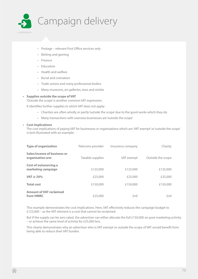

- Postage relevant Post Office services only
- Betting and gaming
- Finance
- Education
- Health and welfare
- Burial and cremation
- Trade unions and many professional bodies
- Many museums, art galleries, zoos and similar

#### **• Supplies outside the scope of VAT**

'Outside the scope' is another common VAT expression.

It identifies further supplies to which VAT does not apply:

- Charities are often wholly or partly 'outside the scope' due to the good works which they do
- Many transactions with overseas businesses are 'outside the scope'

#### **• Cost implications**

The cost implications of paying VAT for businesses or organisations which are 'VAT exempt' or 'outside the scope' is best illustrated with an example:

| <b>Type of organisation</b>                      | Telecoms provider | Insurance company | Charity           |
|--------------------------------------------------|-------------------|-------------------|-------------------|
| Sales/income of business or<br>organisation are: | Taxable supplies  | VAT exempt        | Outside the scope |
| Cost of outsourcing a<br>marketing campaign      | £125,000          | £125,000          | £125,000          |
| VAT @ 20%                                        | £25,000           | £25,000           | £25,000           |
| <b>Total cost</b>                                | £150,000          | £150,000          | £150,000          |
| <b>Amount of VAT reclaimed</b><br>from HMRC      | £25,000           | £nil              | £nil              |

This example demonstrates the cost implications. Here, VAT effectively reduces the campaign budget to £125,000 – as the VAT element is a cost that cannot be reclaimed.

But if the supply can be zero rated, the advertiser can either allocate the full £150,000 on pure marketing activity – or achieve the same level of activity for £25,000 less.

This clearly demonstrates why an advertiser who is VAT exempt or outside the scope of VAT would benefit from being able to reduce their VAT burden.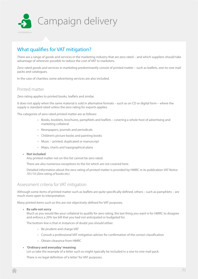

# What qualifies for VAT mitigation?

There are a range of goods and services in the marketing industry that are zero rated – and which suppliers should take advantage of wherever possible to reduce the cost of VAT to marketers.

Zero-rated goods and services in marketing predominantly consist of printed matter – such as leaflets, one-to-one mail packs and catalogues.

In the case of charities, some advertising services are also included.

## Printed matter

Zero rating applies to printed books, leaflets and similar.

It does not apply when the same material is sold in alternative formats – such as on CD or digital form – where the supply is standard rated unless the zero rating for exports applies.

The categories of zero-rated printed matter are as follows:

- Books, booklets, brochures, pamphlets and leaflets covering a whole host of advertising and marketing collateral
- Newspapers, journals and periodicals
- Children's picture books and painting books
- Music printed, duplicated or manuscript
- Maps, charts and topographical plans

#### **• Not included**

Any printed matter not on this list cannot be zero rated.

There are also numerous exceptions to the list which are not covered here.

Detailed information about the zero rating of printed matter is provided by HMRC in its publication *VAT Notice 701/10 (Zero rating of books etc)*.

#### Assessment criteria for VAT mitigation

Although some items of printed matter such as leaflets are quite specifically defined, others – such as pamphlets – are much more open to interpretation.

Many printed items such as this are not objectively defined for VAT purposes.

**• Be safe not sorry**

Much as you would like your collateral to qualify for zero rating, the last thing you want is for HMRC to disagree and enforce a 20% tax bill that you had not anticipated or budgeted for.

The bottom line is that in instances of doubt you should either:

- Be prudent and charge VAT
- Consult a professional VAT mitigation adviser for confirmation of the correct classification
- Obtain clearance from HMRC

#### **• 'Ordinary and everyday' meaning**

Let us take the example of a letter such as might typically be included in a one-to-one mail pack.

There is no legal definition of 'a letter' for VAT purposes.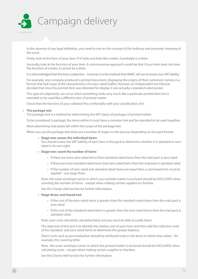

In the absence of any legal definition, you need to rely on the concept of the 'ordinary and everyday' meaning of the word.

Firstly, look at the form of your item. If it looks and feels like a letter, it probably is a letter.

Secondly, look at the function of your item. A commonsense approach would be that if your item does not have the function of a letter, it cannot be a letter.

It is acknowledged that this test is subjective – however, it is the method that HMRC will use to assess your VAT liability.

For example, one company produced a printed document, displaying the origins of their customers' names, in a format that had many of the characteristics of a zero-rated leaflet. However, an independent tax tribunal decided that since the printed item was intended for display it was actually a standard-rated poster.

This type of subjectivity can occur when something looks very much like a particular printed item but is intended to be used like a different item of printed matter.

Check that the function of your collateral fits comfortably with your classification of it.

#### **• The package test**

The package test is a method for determining the VAT status of packages of printed matter.

To be considered 'a package', the items within it must have a common link and be intended to be used together.

Most advertising mail packs fall within the scope of the package test.

When you use the package test there are a number of stages to the process depending on the pack format:

#### **• Stage one: assess the individual items**

You should assess the VAT liability of each item in the pack to determine whether it is standard or zero rated in its own right.

#### **• Stage two: count the number of items**

- If there are more zero-rated items than standard-rated items then the mail pack is zero rated
- If there are more standard-rated items than zero-rated items then the mail pack is standard rated
- If the number of zero-rated and standard-rated items are equal then a cost-based test must be applied – see stage three

Note: the outer envelope/carrier in which your printed matter is enclosed should be EXCLUDED when counting the number of items – except when making certain supplies to charities.

See the *Charity relief* section for further information.

#### **• Stage three: cost based test**

- If the cost of the zero-rated items is greater than the standard-rated items then the mail pack is zero rated
- If the cost of the standard-rated items is greater than the zero-rated items then the mail pack is standard rated

Note: your costs should be calculated fairly and you must be able to justify them.

The objective of this test is to identify the relative cost of each item and then add the collective costs of the standard- and zero-rated items to determine the greater balance.

Direct costs such as personalisation should be attributed only to the items to which they relate – for example, the covering letter.

Note : the outer envelope/carrier in which the printed matter is enclosed should be EXCLUDED when calculating costs – except when making certain supplies to charities.

See the *Charity relief* section for further information.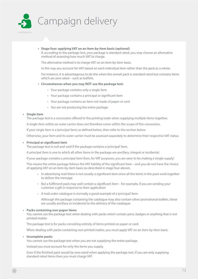

**• Stage four: applying VAT on an item-by-item basis (optional)** If, according to the package test, your package is standard rated, you may choose an alternative method of assessing how much VAT to charge.

The alternative method is to charge VAT on an item-by-item basis.

In this way you account for VAT based on each individual item rather than the pack as a whole.

For instance, it is advantageous to do this when the overall pack is standard rated but contains items which are zero rated – such as leaflets.

### **• Circumstances when you may NOT use the package test:**

- Your package contains only a single item
- Your package contains a principal or significant item
- Your package contains an item not made of paper or card
- You are not producing the entire package

## **• Single item**

The package test is a concession offered to the printing trade when supplying multiple items together.

A single item within an outer carrier does not therefore come within the scope of this concession.

If your single item is a 'principal item', as defined below, then refer to the section below.

Otherwise, your item and its outer carrier must be assessed separately to determine their respective VAT status.

### **• Principal or significant item**

The package test is null and void if the package contains a 'principal' item.

A principal item is one to which all other items in the package are ancillary, integral or incidental.

If your package contains a principal item then, for VAT purposes, you are seen to be making a 'single supply'.

This means the entire package follows the VAT liability of the significant item – and you do not have the choice of applying VAT on an item-by-item basis (as described in stage four above).

- In advertising mail there is not usually a significant item since all the items in the pack work together to deliver the message
- But a fulfilment pack may well contain a significant item for example, if you are sending your customer a gift in response to their application
- A mail order catalogue is normally a good example of a 'principal' item.

Although the package containing the catalogue may also contain other promotional leaflets, these are usually ancillary or incidental to the delivery of the catalogue

## **• Packs containing non-paper items**

You cannot use the package test when dealing with packs which contain pens, badges or anything that is not printed matter.

The package test is for packs consisting entirely of items printed on paper or card.

When dealing with packs containing non-printed matter, you must apply VAT on an item-by-item basis.

### **• Incomplete packs**

You cannot use the package test when you are not supplying the entire package.

Instead you must account for only the items you supply.

Even if the finished pack would be zero rated when applying the package test, if you are only supplying standard-rated items then you must charge VAT.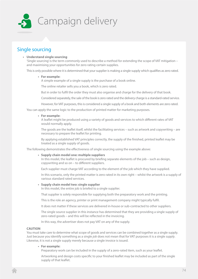

# Single sourcing

## **• Understand single sourcing**

'Single sourcing' is the term commonly used to describe a method for extending the scope of VAT mitigation – and maximising your opportunities for zero rating certain supplies.

This is only possible where it is determined that your supplier is making a single supply which qualifies as zero rated.

## **• For example:**

A simple example of a single supply is the purchase of a book online.

The online retailer sells you a book, which is zero rated.

But in order to fulfil the order they must also organise and charge for the delivery of that book.

Considered separately, the sale of the book is zero rated and the delivery charge is a standard-rated service.

However, for VAT purposes, this is considered a single supply of a book and both elements are zero rated.

You can apply the same logic to the production of printed matter for marketing purposes.

## **• For example:**

A leaflet might be produced using a variety of goods and services to which different rates of VAT would normally apply.

The goods are the leaflet itself, whilst the facilitating services – such as artwork and copywriting – are necessary to prepare the leaflet for printing.

By applying established VAT principles correctly, the supply of the finished, printed leaflet may be treated as a single supply of goods.

The following demonstrates the effectiveness of single sourcing using the example above:

## **• Supply chain model one: multiple suppliers**

In this model, the leaflet is procured by briefing separate elements of the job – such as design, copywriting and so on – to different suppliers.

Each supplier must charge VAT according to the element of the job which they have supplied.

In this scenario, only the printed matter is zero rated in its own right – whilst the artwork is a supply of various standard rated services.

## **• Supply chain model two: single supplier**

In this model, the entire job is briefed to a single supplier.

That supplier is solely responsible for supplying both the preparatory work and the printing.

This is the role an agency, printer or print management company might typically fulfil.

It does not matter if these services are delivered in-house or sub-contracted to other suppliers.

The single source supplier in this instance has determined that they are providing a single supply of zero-rated goods – and this will be reflected in the invoicing.

In this way, the advertiser does not pay VAT on any of the supply.

## **CAUTION**

You must take care to determine what scope of goods and services can be combined together as a single supply. Just because you identify something as a single *job* does not mean that for VAT purposes it is a single *supply*. Likewise, it is not a single supply merely because a single invoice is issued.

## **• For example:**

Preparatory work can be included in the supply of a zero-rated item, such as your leaflet.

Artworking and design costs specific to your finished leaflet may be included as part of the single supply of that leaflet.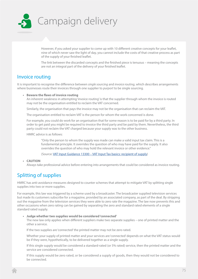

However, if you asked your supplier to come up with 10 different creative concepts for your leaflet, nine of which never saw the light of day, you cannot include the costs of that creative process as part of the supply of your finished leaflet.

The link between the discarded concepts and the finished piece is tenuous – meaning the concepts are not an integral part of the delivery of your finished leaflet.

# Invoice routing

It is important to recognise the difference between *single sourcing* and *invoice routing*, which describes arrangements where businesses route their invoices through one supplier to *purport* to be single sourcing.

## **• Beware the flaws of invoice routing**

An inherent weakness in attempting 'invoice routing' is that the supplier through whom the invoice is routed may not be the organisation entitled to reclaim the VAT concerned.

Similarly, the organisation that pays the invoice may not be the organisation that can reclaim the VAT.

The organisation entitled to reclaim VAT is the person for whom the work concerned is done.

For example, you could do work for an organisation that for some reason is to be paid for by a third party. In order to get paid you might be required to invoice the third party and be paid by them. Nevertheless, the third party could not reclaim the VAT charged because your supply was to the other business.

HMRC advice is as follows:

"Only the person to whom the supply was made can make a valid input tax claim. This is a fundamental principle. It overrides the question of who may have paid for the supply. It also overrides the question of who may hold the relevant invoice or other evidence."

(Source: [VAT Input Guidance 13300 – VAT Input Tax basics: recipient of supply](VAT Input Guidance 13300 - VAT Input Tax basics: recipient of supply))

## **• CAUTION**

Always take professional advice before entering into arrangements that could be considered as invoice routing.

# Splitting of supplies

HMRC has anti-avoidance measures designed to counter schemes that attempt to mitigate VAT by splitting single supplies into two or more supplies.

For example, this law was triggered by a scheme used by a broadcaster. The broadcaster supplied television services but made its customers subscribe for a magazine, provided by an associated company, as part of the deal. By stripping out the magazine from the television services they were able to zero rate the magazine. The law now prevents this and other occasions when zero rating can be gained by separating the zero and standard rated elements of a single standard rated supply.

## **• Judge whether two supplies would be considered 'connected'**

The new law only applies when different suppliers make two separate supplies – one of printed matter and the other a service.

If the two supplies are 'connected' the printed matter may not be zero rated.

Whether your supply of printed matter and your services are 'connected' depends on what the VAT status would be if they were, hypothetically, to be delivered together as a single supply.

If this single supply would be considered a standard-rated (or 5% rated) service, then the printed matter and the service are considered connected.

If this supply would be zero rated, or be considered a supply of goods, then they would not be considered to be connected.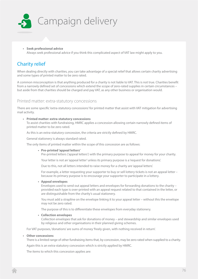

**• Seek professional advice** Always seek professional advice if you think this complicated aspect of VAT law might apply to you.

# Charity relief

When dealing directly with charities, you can take advantage of a special relief that allows certain charity advertising and some types of printed matter to be zero rated.

A common misconception is that anything produced for a charity is not liable to VAT. This is not true. Charities benefit from a narrowly defined set of concessions which extend the scope of zero-rated supplies in certain circumstances – but aside from that charities should be charged and pay VAT, as any other business or organisation would.

## Printed matter: extra-statutory concessions

There are some specific 'extra-statutory concessions' for printed matter that assist with VAT mitigation for advertising mail activity.

## **• Printed matter: extra-statutory concessions**

To assist charities with fundraising, HMRC applies a concession allowing certain narrowly defined items of printed matter to be zero rated.

As this is an extra-statutory concession, the criteria are strictly defined by HMRC.

General stationery is always standard rated.

The only items of printed matter within the scope of this concession are as follows:

**• Pre-printed 'appeal letters'**

Pre-printed letters ('appeal letters') with the primary purpose to appeal for money for your charity.

Your letter is not an 'appeal letter' unless its primary purpose is a 'request for donations'.

Due to this, not all letters intended to raise money for a charity are 'appeal letters'.

For example, a letter requesting your supporter to buy or sell lottery tickets is not an appeal letter – because its primary purpose is to encourage your supporter to participate in a lottery.

## **• Appeal envelopes**

Envelopes used to send out appeal letters and envelopes for forwarding donations to the charity – provided each type is over-printed with an appeal request related to that contained in the letter, or are distinguishable from the charity's usual stationery.

You must add a strapline on the envelope linking it to your appeal letter – without this the envelope may not be zero rated.

The purpose of this is to differentiate these envelopes from everyday stationery.

## **• Collection envelopes**

Collection envelopes that ask for donations of money – and stewardship and similar envelopes used by religious and other organisations in their planned giving schemes.

For VAT purposes, 'donations' are sums of money 'freely given, with nothing received in return'.

## **• Other concessions**

There is a limited range of other fundraising items that, by concession, may be zero rated when supplied to a charity.

Again this is an extra-statutory concession which is strictly applied by HMRC.

The items to which this concession applies are: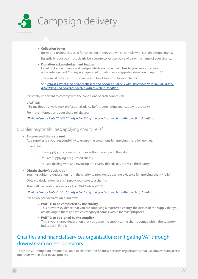

## **• Collection boxes**

Boxes and receptacles used for collecting money and which comply with certain design criteria.

Essentially, your box must clearly be a secure collection box and carry the name of your charity.

**• Donation acknowledgement badges**

Lapel stickers, emblems and badges which are to be given free to your supporter as an acknowledgement "for any non-specified donation or a suggested donation of up to £1".

These must have 'no intrinsic value' and be of 'low cost' to your charity.

See [Para 8.1 What kind of lapel stickers and badges qualify?](http://customs.hmrc.gov.uk/channelsPortalWebApp/channelsPortalWebApp.portal?_nfpb=true&_pageLabel=pageExcise_ShowContent&id=HMCE_CL_000123&propertyType=document#P161_18285) *HMRC Reference Note 701/58 Charity [advertising and goods connected with collecting donations](http://customs.hmrc.gov.uk/channelsPortalWebApp/channelsPortalWebApp.portal?_nfpb=true&_pageLabel=pageExcise_ShowContent&id=HMCE_CL_000123&propertyType=document#P161_18285).*

It is vitally important to comply with the conditions of each concession.

### **CAUTION**

If in any doubt, always seek professional advice before zero rating your supply to a charity.

For more information about these reliefs, see:

*HMRC Reference Note 701/58 Charity advertising and goods connected with collecting donations*

## Supplier responsibilities: applying charity relief

## **• Ensure conditions are met**

As a supplier it is your responsibility to ensure the conditions for applying the relief are met. Check that:

- The supply you are making comes within the scope of the relief
- You are supplying a registered charity
- You are dealing with and invoicing the charity directly (i.e. not via a third party)

## **• Obtain charity's declaration**

You must obtain a declaration from the charity to provide supporting evidence for applying charity relief.

Obtain a declaration for *each supply* you make to a charity.

The draft declaration is available from VAT Notice 701/58:

*HMRC Reference Note 701/58 Charity advertising and goods connected with collecting donations*

It is a two-part declaration as follows:

- **• PART 1: to be completed by the charity** This provides evidence that you are supplying a registered charity, the details of the supply that you are making to them and which category it comes within for relief purposes.
- **• PART 2: to be signed by the supplier** This is your signed declaration that you agree the supply to the charity comes within the category indicated in Part 1.

# Charities and financial services organisations: mitigating VAT through downstream access operators

There are VAT mitigation options available to charities and financial services organisations that use downstream access operators within their postal process.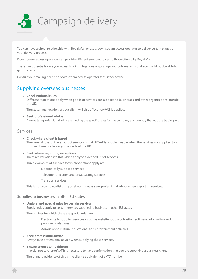

You can have a direct relationship with Royal Mail or use a downstream access operator to deliver certain stages of your delivery process.

Downstream access operators can provide different service choices to those offered by Royal Mail.

These can potentially give you access to VAT mitigations on postage and bulk mailings that you might not be able to get otherwise.

Consult your mailing house or downstream access operator for further advice.

# Supplying overseas businesses

**• Check national rules**

Different regulations apply when goods or services are supplied to businesses and other organisations outside the UK.

The status and location of your client will also affect how VAT is applied.

**• Seek professional advice** Always take professional advice regarding the specific rules for the company and country that you are trading with.

## Services

- **• Check where client is based** The general rule for the export of services is that UK VAT is not chargeable when the services are supplied to a business based or belonging outside of the UK.
- **• Seek advice regarding exceptions** There are variations to this which apply to a defined list of services.

Three examples of supplies to which variations apply are:

- Electronically supplied services
- Telecommunication and broadcasting services
- Transport services

This is not a complete list and you should always seek professional advice when exporting services.

## **Supplies to businesses in other EU states**

**• Understand special rules for certain services**

Special rules apply to certain services supplied to business in other EU states.

The services for which there are special rules are:

- Electronically supplied services such as website supply or hosting, software, information and providing databases
- Admission to cultural, educational and entertainment activities

### **• Seek professional advice**

Always take professional advice when supplying these services.

### **• Ensure correct VAT evidence**

In order not to charge VAT it is necessary to have confirmation that you are supplying a business client.

The primary evidence of this is the client's equivalent of a VAT number.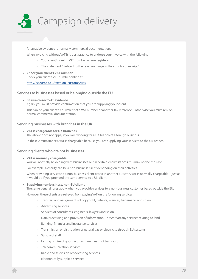

Alternative evidence is normally commercial documentation.

When invoicing without VAT it is best practice to endorse your invoice with the following:

- Your client's foreign VAT number, where registered
- The statement: "Subject to the reverse charge in the country of receipt"
- **• Check your client's VAT number** Check your client's VAT number online at:

http://ec.europa.eu/taxation\_customs/vies

## **Services to businesses based or belonging outside the EU**

**• Ensure correct VAT evidence** Again, you must provide confirmation that you are supplying your client.

This can be your client's equivalent of a VAT number or another tax reference – otherwise you must rely on normal commercial documentation.

## **Servicing businesses with branches in the UK**

## **• VAT is chargeable for UK branches**

The above does not apply if you are working for a UK branch of a foreign business.

In these circumstances, VAT is chargeable because you are supplying your services to the UK branch.

## **Servicing clients who are not businesses**

**• VAT is normally chargeable**

You will normally be dealing with businesses but in certain circumstances this may not be the case.

For example, a charity can be a non-business client depending on their activities.

When providing services to a non-business client based in another EU state, VAT is normally chargeable – just as it would be if you provided the same service to a UK client.

## **• Supplying non-business, non-EU clients**

The same general rules apply when you provide services to a non-business customer based outside the EU.

However, these clients are relieved from paying VAT on the following services:

- Transfers and assignments of copyright, patents, licences, trademarks and so on
- Advertising services
- Services of consultants, engineers, lawyers and so on
- Data processing and provision of information *other than* any services relating to land
- Banking, financial and insurance services
- Transmission or distribution of natural gas or electricity through EU systems
- Supply of staff
- Letting or hire of goods *other than* means of transport
- Telecommunication services
- Radio and television broadcasting services
- Electronically supplied services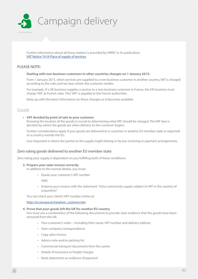

Further information about all these matters is provided by HMRC in its publication: [VAT Notice 741A Place of supply of services](http://customs.hmrc.gov.uk/channelsPortalWebApp/channelsPortalWebApp.portal?_nfpb=true&_pageLabel=pageLibrary_ShowContent&id=HMCE_PROD1_029955&propertyType=document)

## **PLEASE NOTE:**

## **Dealing with non-business customers in other countries changes on 1 January 2015.**

From 1 January 2015, when services are supplied to a non-business customer in another country, VAT is charged according to the rules and tax laws where the customer resides.

For example, if a UK business supplies a service to a non-business customer in France, the UK business must charge 'VAT' at French rates. This 'VAT' is payable to the French authorities.

Keep up with the latest information on these changes as it becomes available.

## Goods

## **• VAT decided by point of sale to your customer**

Knowing the location of the goods is crucial to determining what VAT should be charged. The VAT due is decided by where the goods are when delivery to the customer begins.

Further considerations apply if your goods are delivered to a customer in another EU member state or exported to a country outside the EU.

Less important is where the parties to the supply might belong or by any invoicing or payment arrangements.

## **Zero rating goods delivered to another EU member state**

Zero rating your supply is dependent on you fulfilling both of these conditions:

## **3. Prepare your sales invoice correctly**

In addition to the normal details, you must:

• Quote your customer's VAT number

AND

• Endorse your invoice with the statement: "Intra-community supply subject to VAT in the country of acquisition"

You can check your client's VAT number online at:

## http://ec.europa.eu/taxation\_customs/vies

## **4. Prove that your goods left the UK for another EU country**

You must use a combination of the following documents to provide clear evidence that the goods have been removed from the UK:

- Your customer's order including their name, VAT number and delivery address
- Inter-company correspondence
- Copy sales invoice
- Advice note and/or packing list
- Commercial transport documents from the carrier
- Details of insurance or freight charges
- Bank statements as evidence of payment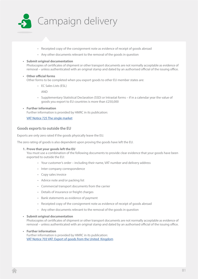

- Receipted copy of the consignment note as evidence of receipt of goods abroad
- Any other documents relevant to the removal of the goods in question

## **• Submit original documentation**

Photocopies of certificates of shipment or other transport documents are not normally acceptable as evidence of removal – unless authenticated with an original stamp and dated by an authorised official of the issuing office.

## **• Other official forms** Other forms to be completed when you export goods to other EU member states are:

• EC Sales Lists (ESL)

AND

• Supplementary Statistical Declaration (SSD) or Intrastat forms – if in a calendar year the value of goods you export to EU countries is more than £250,000

## **• Further information** Further information is provided by HMRC in its publication:

[VAT Notice 725 The single market](http://customs.hmrc.gov.uk/channelsPortalWebApp/channelsPortalWebApp.portal?_nfpb=true&_pageLabel=pageVAT_ShowContent&propertyType=document&id=HMCE_CL_000152)

## **Goods exports to outside the EU**

Exports are only zero rated if the goods physically leave the EU.

The zero rating of goods is also dependent upon proving the goods have left the EU.

## **1. Prove that your goods left the EU**

You must use a combination of the following documents to provide clear evidence that your goods have been exported to outside the EU:

- Your customer's order including their name, VAT number and delivery address
- Inter-company correspondence
- Copy sales invoice
- Advice note and/or packing list
- Commercial transport documents from the carrier
- Details of insurance or freight charges
- Bank statements as evidence of payment
- Receipted copy of the consignment note as evidence of receipt of goods abroad
- Any other documents relevant to the removal of the goods in question

## **• Submit original documentation**

Photocopies of certificates of shipment or other transport documents are not normally acceptable as evidence of removal – unless authenticated with an original stamp and dated by an authorised official of the issuing office.

**• Further information**

Further information is provided by HMRC in its publication: [VAT Notice 703 VAT: Export of goods from the United Kingdom](http://customs.hmrc.gov.uk/channelsPortalWebApp/channelsPortalWebApp.portal?_nfpb=true&_pageLabel=pageVAT_ShowContent&id=HMCE_CL_000130&propertyType=document)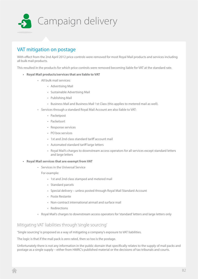

# VAT mitigation on postage

With effect from the 2nd April 2012 price controls were removed for most Royal Mail products and services including all bulk mail products.

This resulted in the products for which price controls were removed becoming liable for VAT at the standard rate.

- **• Royal Mail products/services that are liable to VAT**
	- All bulk mail services:
		- Advertising Mail
		- Sustainable Advertising Mail
		- Publishing Mail
		- Business Mail and Business Mail 1st Class (this applies to metered mail as well).
	- Services through a standard Royal Mail Account are also liable to VAT:
		- Packetpost
		- Packetsort
		- Response services
		- PO box services
		- 1st and 2nd class standard tariff account mail
		- Automated standard tariff large letters
		- Royal Mail's charges to downstream access operators for all services except standard letters and large letters
- **• Royal Mail services that are exempt from VAT**
	- Services in the Universal Service

For example:

- 1st and 2nd class stamped and metered mail
- Standard parcels
- Special delivery unless posted through Royal Mail Standard Account
- Poste Restante
- Non-contract international airmail and surface mail
- Redirections
- Royal Mail's charges to downstream access operators for 'standard' letters and large letters only

## Mitigating VAT liabilities through 'single sourcing'

'Single sourcing' is proposed as a way of mitigating a company's exposure to VAT liabilities.

The logic is that if the mail pack is zero rated, then so too is the postage.

Unfortunately there is not any information in the public domain that specifically relates to the supply of mail packs and postage as a single supply – either from HMRC's published material or the decisions of tax tribunals and courts.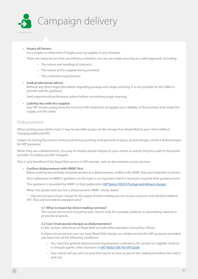

## **• Assess all factors**

It is complex to determine if 'single sourcing' applies in any situation.

There are many factors that can influence whether you can use single sourcing as a valid approach, including:

- The nature and wording of contracts
- The nature of the supplies being provided
- The customer's expectations

### **• Seek professional advice**

Without any direct legal precedents regarding postage and single sourcing, it is not possible for the DMA to provide specific guidance.

Seek experienced professional advice before considering single sourcing.

**• Liability lies with the supplier** Any VAT arrears arising from the incorrect VAT treatment of supplies are a liability of the business that made the supply, not the client.

## Disbursement

When posting your client's mail, it may be possible to pass on the charge from Royal Mail to your client without charging additional VAT.

Subject to having the correct contractual and accounting arrangements in place, postal charges can be a 'disbursement for VAT purposes'.

When they are a disbursement, you may re-invoice postal charges to your clients at exactly the price paid to the postal provider (including any VAT charged).

This is only beneficial if the Royal Mail service is VAT exempt, such as downstream access services.

**• Confirm disbursement with HMRC first**

Before treating any recharge of postal services as a disbursement, confirm with HMRC that your treatment is correct.

Strict adherence to HMRC's guidance on this topic is so important that it is necessary to quote their guidance here.

This guidance is provided by HMRC in their publication *[VAT Notice 700/24 Postage and delivery charges](http://customs.hmrc.gov.uk/channelsPortalWebApp/channelsPortalWebApp.portal?_nfpb=true&_pageLabel=pageVAT_ShowContent&id=HMCE_CL_000114&propertyType=document)*.

When the postal costs are not a disbursement, HMRC clearly states:

*"…they become part of your charge for the supply of direct mailing services to your customer and therefore liable to VAT. They will normally be standard rated."*

#### **3.1 What is meant by direct mailing services?**

This covers the service of posting your client's mail, for example publicity or advertising material or promotional goods.

### **3.2 Can I treat postal charges as disbursements?**

In this section, references to 'Royal Mail' include other operators licensed by Ofcom.

In these circumstances you can treat Royal Mail charges as a disbursement for VAT purposes provided you have met all the following conditions:

- You meet the general disbursement requirements outlined in the section on *Supplies made by or through agents: other situations* in *[VAT Notice 700 The VAT Guide](http://customs.hmrc.gov.uk/channelsPortalWebApp/channelsPortalWebApp.portal?_nfpb=true&_pageLabel=pageVAT_ShowContent&id=HMCE_CL_001596&propertyType=document)*
- Your clients tell you who to send the mail to or have access to the mailing list before the mail is sent out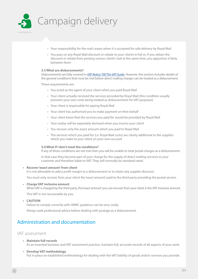

- Your responsibility for the mail ceases when it is accepted for safe delivery by Royal Mail
- You pass on any Royal Mail discount or rebate to your clients in full or, if you obtain the discount or rebate from posting various clients' mail at the same time, you apportion it fairly between them

## **3.3 What are disbursements?**

Disbursements are fully covered in *[VAT Notice 700 The VAT Guide](http://customs.hmrc.gov.uk/channelsPortalWebApp/channelsPortalWebApp.portal?_nfpb=true&_pageLabel=pageVAT_ShowContent&id=HMCE_CL_001596&propertyType=document)*. However, this section includes details of the general conditions that must be met before direct mailing charges can be treated as a disbursement.

These requirements are:

- You acted as the agent of your client when you paid Royal Mail
- Your client actually received the services provided by Royal Mail (this condition usually prevents your own costs being treated as disbursements for VAT purposes)
- Your client is responsible for paying Royal Mail
- Your client has authorised you to make payment on their behalf
- Your client knew that the services you paid for would be provided by Royal Mail
- Your outlay will be separately itemised when you invoice your client
- You recover only the exact amount which you paid to Royal Mail
- The services which you paid for (i.e. Royal Mail costs) are clearly additional to the supplies which you make to your client on your own account

#### **3.4 What if I don't meet the conditions?**

If any of these conditions are not met then you will be unable to treat postal charges as a disbursement.

In that case they become part of your charge for the supply of direct mailing services to your customer and therefore liable to VAT. They will normally be standard rated.

**• Recover 'exact amount' from client**

It is not allowable to add a profit margin to a disbursement or to retain any supplier discount.

You must only recover from your client the 'exact amount' paid to the third party providing the postal service.

**• Charge VAT inclusive amount**

When VAT is charged by the third party, the 'exact amount' you can recover from your client is the VAT inclusive amount.

This VAT is not recoverable by you.

**• CAUTION**

Failure to comply correctly with HMRC guidance can be very costly.

Always seek professional advice before dealing with postage as a disbursement.

## Administration and documentation

## VAT assessment

- **• Maintain full records** As an essential business and VAT assessment practice, maintain full, accurate records of all aspects of your work.
- **• Develop VAT methodology** Put in place an established methodology for dealing with the VAT liability of goods and/or services you provide.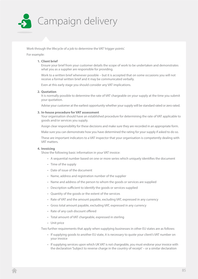

Work through the lifecycle of a job to determine the VAT 'trigger points'.

## For example:

## **1. Client brief**

Ensure your brief from your customer details the scope of work to be undertaken and demonstrates what you as a supplier are responsible for providing.

Work to a written brief whenever possible – but it is accepted that on some occasions you will not receive a formal written brief and it may be communicated verbally.

Even at this early stage you should consider any VAT implications.

### **2. Quotation**

It is normally possible to determine the rate of VAT chargeable on your supply at the time you submit your quotation.

Advise your customer at the earliest opportunity whether your supply will be standard rated or zero rated.

## **3. In-house procedure for VAT assessment**

Your organisation should have an established procedure for determining the rate of VAT applicable to goods and/or services you supply.

Assign clear responsibility for these decisions and make sure they are recorded in an appropriate form.

Make sure you can demonstrate how you have determined the rating for your supply if asked to do so.

These are important indicators to a VAT inspector that your organisation is competently dealing with VAT matters.

## **4. Invoicing**

Show the following basic information in your VAT invoice:

- A sequential number based on one or more series which uniquely identifies the document
- Time of the supply
- Date of issue of the document
- Name, address and registration number of the supplier
- Name and address of the person to whom the goods or services are supplied
- Description sufficient to identify the goods or services supplied
- Quantity of the goods or the extent of the services
- Rate of VAT and the amount payable, excluding VAT, expressed in any currency
- Gross total amount payable, excluding VAT, expressed in any currency
- Rate of any cash discount offered
- Total amount of VAT chargeable, expressed in sterling
- Unit price

Two further requirements that apply when supplying businesses in other EU states are as follows:

- If supplying goods to another EU state, it is necessary to quote your client's VAT number on your invoice
- If supplying services upon which UK VAT is not chargeable, you must endorse your invoice with the declaration 'Subject to reverse charge in the country of receipt' – or a similar declaration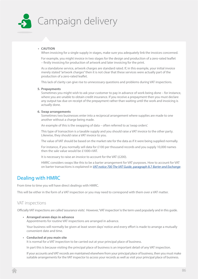

## **• CAUTION**

When invoicing for a single supply in stages, make sure you adequately link the invoices concerned.

For example, you might invoice in two stages for the design and production of a zero-rated leaflet – firstly invoicing for production of artwork and later invoicing for the print.

As a standalone service, artwork charges are standard rated. If, in this example, your initial invoice merely stated "artwork charges" then it is not clear that these services were actually part of the production of a zero-rated leaflet.

This lack of clarity can give rise to unnecessary questions and problems during VAT inspections.

#### **5. Prepayments**

Sometimes you might wish to ask your customer to pay in advance of work being done – for instance, where you are unable to obtain credit insurance. If you receive a prepayment then you must declare any output tax due on receipt of the prepayment rather than waiting until the work and invoicing is actually done.

## **6. Swap arrangements**

Sometimes two businesses enter into a reciprocal arrangement where supplies are made to one another without a charge being made.

An example of this is the swapping of data – often referred to as 'swap orders'.

This type of transaction is a taxable supply and you should raise a VAT invoice to the other party. Likewise, they should raise a VAT invoice to you.

The value of VAT should be based on the market rate for the data as if it were being supplied normally.

For instance, if you normally sell data for £100 per thousand records and you supply 10,000 names then the sale value would be £1000+VAT.

It is necessary to raise an invoice to account for the VAT (£200).

HMRC considers swaps like this to be a barter arrangement for VAT purposes. How to account for VAT on barter transactions is explained in *[VAT notice 700 The VAT Guide](http://customs.hmrc.gov.uk/channelsPortalWebApp/channelsPortalWebApp.portal?_nfpb=true&_pageLabel=pageLibrary_ShowContent&id=HMCE_CL_001596&propertyType=document#P756_61254)*, paragraph 8.7 *Barter and Exchange*.

## Dealing with HMRC

From time to time you will have direct dealings with HMRC.

This will be either in the form of a VAT inspection or you may need to correspond with them over a VAT matter.

## VAT inspections

Officially VAT inspections are called 'assurance visits'. However, 'VAT inspection' is the term used popularly and in this guide.

**• Arranged seven days in advance**

Appointments for routine VAT inspections are arranged in advance.

Your business will normally be given at least seven days' notice and every effort is made to arrange a mutually convenient date and time.

## **• Conducted at you main site**

It is normal for a VAT inspection to be carried out at your principal place of business.

In part this is because visiting the principal place of business is an important detail of any VAT inspection.

If your accounts and VAT records are maintained elsewhere from your principal place of business, then you must make suitable arrangements for the VAT inspector to access your records as well as visit your principal place of business.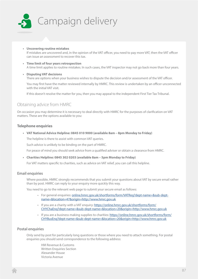

- **• Uncovering routine mistakes** If mistakes are uncovered and, in the opinion of the VAT officer, you need to pay more VAT, then the VAT officer can issue an assessment to recover this tax.
- **• Time limit of four years retrospection** A time limit applies to routine mistakes. In such cases, the VAT inspector may not go back more than four years.
- **• Disputing VAT decisions**

There are options when your business wishes to dispute the decision and/or assessment of the VAT officer.

You may first have the matter reviewed internally by HMRC. This review is undertaken by an officer unconnected with the initial VAT visit.

If this doesn't resolve the matter for you, then you may appeal to the independent First Tier Tax Tribunal.

## Obtaining advice from HMRC

On occasion you may determine it is necessary to deal directly with HMRC for the purposes of clarification on VAT matters. These are the options available to you:

## **Telephone enquiries**

**• VAT National Advice Helpline: 0845 010 9000 (available 8am – 8pm Monday to Friday)**

The helpline is there to assist with common VAT queries.

Such advice is unlikely to be binding on the part of HMRC.

For peace of mind you should seek advice from a qualified adviser or obtain a clearance from HMRC.

**• Charities Helpline: 0845 302 0203 (available 8am – 5pm Monday to Friday)**

For VAT matters specific to charities, such as advice on VAT relief, you can call this helpline.

## **Email enquiries**

Where possible, HMRC strongly recommends that you submit your questions about VAT by secure email rather than by post. HMRC can reply to your enquiry more quickly this way.

You need to go to the relevant web page to submit your secure email as follows:

- For general enquiries: [online.hmrc.gov.uk/shortforms/form/VATReg?dept-name=&sub-dept](https://online.hmrc.gov.uk/shortforms/form/VATReg?dept-name=&sub-dept-name=&location=47&origin=http://www.hmrc.gov.uk)[name=&location=47&origin=http://www.hmrc.gov.uk](https://online.hmrc.gov.uk/shortforms/form/VATReg?dept-name=&sub-dept-name=&location=47&origin=http://www.hmrc.gov.uk)
- If you are a charity with a VAT enquiry: [https://online.hmrc.gov.uk/shortforms/form/](https://online.hmrc.gov.uk/shortforms/form/CHYChaEnq?dept-name=&sub-dept-name=&location=20&origin=http://www.hmrc.gov.uk) [CHYChaEnq?dept-name=&sub-dept-name=&location=20&origin=http://www.hmrc.gov.uk](https://online.hmrc.gov.uk/shortforms/form/CHYChaEnq?dept-name=&sub-dept-name=&location=20&origin=http://www.hmrc.gov.uk)
- If you are a business making supplies to charities: [https://online.hmrc.gov.uk/shortforms/form/](https://online.hmrc.gov.uk/shortforms/form/CHYBusEnq?dept-name=&sub-dept-name=&location=20&origin=http://www.hmrc.gov.uk) [CHYBusEnq?dept-name=&sub-dept-name=&location=20&origin=http://www.hmrc.gov.uk](https://online.hmrc.gov.uk/shortforms/form/CHYBusEnq?dept-name=&sub-dept-name=&location=20&origin=http://www.hmrc.gov.uk)

## **Postal enquiries**

Only send by post for particularly long questions or those where you need to attach something. For postal enquiries you should send correspondence to the following address:

HM Revenue & Customs Written Enquiries Section Alexander House Victoria Avenue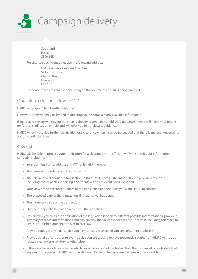

Southend Essex SS99 1BD

For charity-specific enquiries use the following address:

HM Revenue & Customs Charities St Johns House Merton Road Liverpool L75 1BB

Response times are variable depending on the volume of enquiries being handled.

## Obtaining a clearance from HMRC

HMRC will respond to all written enquiries.

However, its answer may be limited to directing you to some already available information.

If, in its view, the answer to your question is already covered in its published guidance, then it will reject your request for further clarification or help and will refer you to its relevant guidance.

HMRC will only provide further clarification or a clearance when it can be persuaded that there is 'material uncertainty' about a particular issue.

## **Checklist**

HMRC will be able to process your application for a clearance more efficiently if you submit your information correctly, including:

- Your business name, address and VAT registration number
- The reasons for undertaking the transaction
- The relevant facts about the transaction so that HMRC have all the information to provide a response including copies of all supporting documents with all relevant parts identified
- Your view of the tax consequences of the transaction and the issue you want HMRC to consider
- The proposed date of the transaction, if it has not yet happened
- The monetary value of the transaction
- Outline the specific legislation which you think applies
- Explain why you think the application of the legislation is open to different possible interpretations, provide a summary of those interpretations and explain why the tax consequences are uncertain, including reference to HMRC's published guidance and/or to case law
- Provide copies of any legal advice you have already received (if you are content to disclose it)
- Provide details of any other relevant advice you are seeking or have previously sought from HMRC to include related clearances (statutory or otherwise)
- If there is a tax avoidance scheme which covers all or part of the transaction, then you must provide details of any disclosure made to HMRC with the allocated DOTAS scheme reference number, if applicable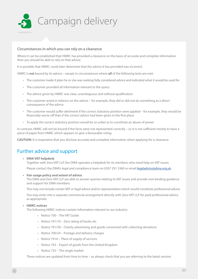

## **Circumstances in which you can rely on a clearance**

Where it can be established that HMRC has provided a clearance on the basis of accurate and complete information then you should be able to rely on that advice.

It is possible that HMRC could later determine that the advice it has provided was incorrect.

HMRC is **not** bound by its advice – except in circumstances where **all** of the following tests are met:

- The customer made it plain he or she was seeking fully considered advice and indicated what it would be used for
- The customer provided all information relevant to the query
- The advice given by HMRC was clear, unambiguous and without qualification
- The customer acted in reliance on the advice for example, they did or did not do something as a direct consequence of the advice
- The customer would suffer detriment if the correct statutory position were applied for example, they would be financially worse off than if the correct advice had been given in the first place
- To apply the correct statutory position would be so unfair as to constitute an abuse of power

In contrast, HMRC will not be bound if the facts were not represented correctly – so it is not sufficient merely to have a piece of paper from HMRC which appears to give a favourable ruling.

**CAUTION:** It is imperative that you disclose accurate and complete information when applying for a clearance.

# Further advice and support

**• DMA VAT helpdesk**

Together with Zero VAT LLP, the DMA operates a helpdesk for its members who need help on VAT issues.

Please contact the DMA's legal and compliance team on 0207 291 3360 or email [legaladvice@dma.org.uk](mailto:legaladvice%40dma.org.uk?subject=Request%20for%20VAT%20advice).

**• Fair usage policy and extent of advice**

The DMA and Zero VAT LLP are able to answer queries relating to VAT issues and provide non-binding guidance and support for DMA members.

This may not include certain VAT or legal advice and/or representation which would constitute professional advice.

You may enter into a separate commercial arrangement directly with Zero VAT LLP for paid professional advice as appropriate.

## **• HMRC notices**

The following HMRC notices contain information relevant to our industry:

- Notice 700 The VAT Guide
- Notice 701/10 Zero rating of books etc
- Notice 701/58 Charity advertising and goods connected with collecting donations
- Notice 700/24 Postage and delivery charges
- Notice 741A Place of supply of services
- Notice 703 Export of goods from the United Kingdom
- Notice 725 The single market

These notices are updated from time to time – so always check that you are referring to the latest version.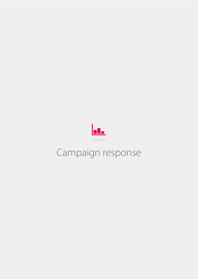

# Campaign response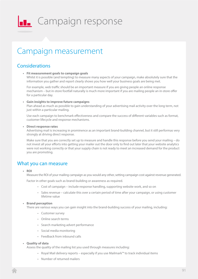

# **LE** Campaign response

# Campaign measurement

## **Considerations**

## **• Fit measurement goals to campaign goals**

Whilst it is possible (and tempting) to measure many aspects of your campaign, make absolutely sure that the information you gather and report clearly shows you how well your business goals are being met.

For example, web traffic should be an important measure if you are giving people an online response mechanism – but in-store footfall naturally is much more important if you are mailing people an in-store offer for a particular day.

## **• Gain insights to improve future campaigns**

Plan ahead as much as possible to gain understanding of your advertising mail activity over the long term, not just within a particular mailing.

Use each campaign to benchmark effectiveness and compare the success of different variables such as format, customer lifecycle and response mechanisms.

## **• Direct response rates**

Advertising mail is increasing in prominence as an important brand-building channel, but it still performas very strongly at driving direct response.

Make sure that you are correctly set up to measure and handle this response before you send your mailing – do not invest all your efforts into getting your mailer out the door only to find out later that your website analytics were not working correctly or that your supply chain is not ready to meet an increased demand for the product you are promoting.

## What you can measure

**• ROI**

Measure the ROI of your mailing campaign as you would any other, setting campaign cost against revenue generated.

Factor in other goals such as brand-building or awareness as required.

- Cost of campaign include response handling, supporting website work, and so on
- Sales revenue calculate this over a certain period of time after your campaign, or using customer lifetime value

## **• Brand perception**

There are various ways you can gain insight into the brand-building success of your mailing, including:

- Customer survey
- Online search terms
- Search marketing advert performance
- Social media monitoring
- Feedback from inbound calls

## **• Quality of data**

Assess the quality of the mailing list you used through measures including:

- Royal Mail delivery reports especially if you use Mailmark™ to track individual items
- Number of returned mailers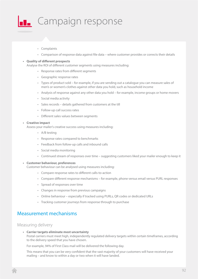

- Complaints
- Comparison of response data against file data where customer provides or corrects their details

### **• Quality of different prospects**

Analyse the ROI of different customer segments using measures including:

- Response rates from different segments
- Geographic response rates
- Types of product sold for example, if you are sending out a catalogue you can measure sales of men's or women's clothes against other data you hold, such as household income
- Analysis of response against any other data you hold for example, income groups or home movers
- Social media activity
- Sales records details gathered from customers at the till
- Follow-up call success rates
- Different sales values between segments

#### **• Creative impact**

Assess your mailer's creative success using measures including:

- A/B testing
- Response rates compared to benchmarks
- Feedback from follow-up calls and inbound calls
- Social media monitoring
- Continued stream of responses over time suggesting customers liked your mailer enough to keep it

## **• Customer behaviour, preferences**

Customer behaviour can be analysed using measures including:

- Compare response rates to different calls-to-action
- Compare different response mechanisms for example, phone versus email versus PURL responses
- Spread of responses over time
- Changes in response from previous campaigns
- Online behaviour especially if tracked using PURLs, QR codes or dedicated URLs
- Tracking customer journeys from response through to purchase

## Measurement mechanisms

## Measuring delivery

**• Carrier targets eliminate most uncertainty** Postal carriers must meet high, independently regulated delivery targets within certain timeframes, according to the delivery speed that you have chosen.

For example, 94% of First Class mail will be delivered the following day.

This means that you can be very confident that the vast majority of your customers will have received your mailing – and know to within a day or two when it will have landed.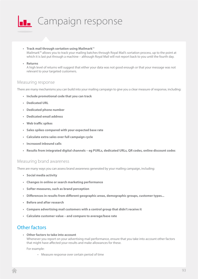

**• Track mail through sortation using Mailmark**™

Mailmark™ allows you to track your mailing batches through Royal Mail's sortation process, up to the point at which it is last put through a machine – although Royal Mail will not report back to you until the fourth day.

**• Returns**

A high level of returns will suggest that either your data was not good enough or that your message was not relevant to your targeted customers.

## Measuring response

There are many mechanisms you can build into your mailing campaign to give you a clear measure of response, including:

- **• Include promotional code that you can track**
- **• Dedicated URL**
- **• Dedicated phone number**
- **• Dedicated email address**
- **• Web traffic spikes**
- **• Sales spikes compared with your expected base rate**
- **• Calculate extra sales over full campaign cycle**
- **• Increased inbound calls**
- **• Results from integrated digital channels eg PURLs, dedicated URLs, QR codes, online discount codes**

## Measuring brand awareness

There are many ways you can assess brand awareness generated by your mailing campaign, including:

- **• Social media activity**
- **• Changes in online or search marketing performance**
- **• Softer measures, such as brand perception**
- **• Differences in results from different geographic areas, demographic groups, customer types...**
- **• Before and after research**
- **• Compare advertising mail customers with a control group that didn't receive it**
- **• Calculate customer value and compare to average/base rate**

## Other factors

**• Other factors to take into account**

Whenever you report on your advertising mail performance, ensure that you take into account other factors that might have affected your results and make allowances for these.

For example:

• Measure response over certain period of time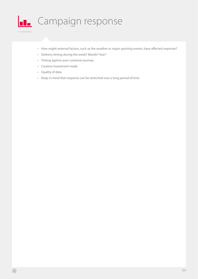

- How might external factors, such as the weather or major sporting events, have affected response?
- Delivery timing during the week? Month? Year?
- Timing against your customer journey
- Creative investment made
- Quality of data
- Keep in mind that response can be stretched over a long period of time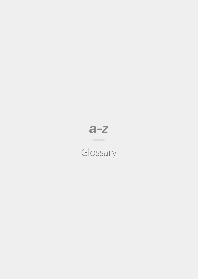# $a-z$

# Glossary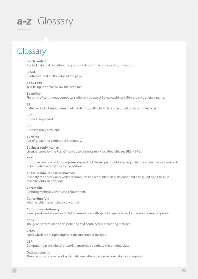# Glossary

## **Batch control**

Control data that describes the groups of data for the purpose of summation.

## **Bleed**

Printing carried off the edge of the page.

## **Body copy**

Text filling the areas below the headline.

## **Böwe(ing)**

Finishing of continuous computer stationery by use of Böwe machinery. Böwe is a proprietary name.

## **BPI**

Bytes per inch. A measurement of the density with which data is recorded on a computer tape.

## **BRC**

Business reply card.

**BRE** Business reply envelope.

## **Bursting**

Act of separating continuous stationery.

## **Business reply licence**

Licence issued by the Post Office to use business reply facilities (also see BRE + BRC).

## **CBC**

Customer barcode which comprises elements of the recipients address. Required for certain mailsort contracts, to be printed in proximity to the address.

## **Cheshire label/Cheshire machine**

A variety of address label which is computer impact printed on plain paper, cut and glued by a Cheshire machine onto an envelope.

## **Chromalin**

A photographically produced colour proof.

## **Concertina fold**

Folding which resembles a concertina.

## **Continuous stationery**

Paper produced in a roll or fanfold presentation with sprocket guide holes for use on a computer printer.

## **Copy**

The generic term used to describe the text contained in marketing materials.

## **Cross**

Folds which are at right angles to the direction of the feed.

## **CTP**

Computer to plate, digital artwork transferred straight to the printing plate.

## **Data processing**

The execution of a series of systematic operations performed on data by a computer.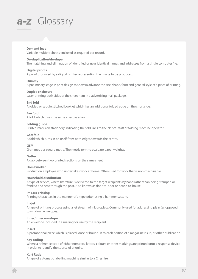## **Demand feed**

Variable multiple sheets enclosed as required per record.

## **De-duplication/de-dupe**

The matching and elimination of identified or near identical names and addresses from a single computer file.

## **Digital proofs**

A proof produced by a digital printer representing the image to be produced.

## **Dummy**

A preliminary stage in print design to show in advance the size, shape, form and general style of a piece of printing.

## **Duplex enclosure**

Laser printing both sides of the sheet item in a advertising mail package.

## **End fold**

A folded or saddle stitched booklet which has an additional folded edge on the short side.

## **Fan fold**

A fold which gives the same effect as a fan.

## **Folding guide**

Printed marks on stationery indicating the fold lines to the clerical staff or folding machine operator.

## **Gatefold**

A fold which turns in on itself from both edges towards the centre.

## **GSM**

Grammes per square metre. The metric term to evaluate paper weights.

## **Gutter**

A gap between two printed sections on the same sheet.

## **Homeworker**

Production employee who undertakes work at home. Often used for work that is non-machinable.

## **Household distribution**

A type of service, where literature is delivered to the target recipients by hand rather than being stamped or franked and sent through the post. Also known as door-to-door or house-to-house.

## **Impact printing**

Printing characters in the manner of a typewriter using a hammer system.

## **Inkjet**

A type of printing process using a jet stream of ink droplets. Commonly used for addressing plain (as opposed to window) envelopes.

## **Inner/inner envelope**

An envelope included in a mailing for use by the recipient.

## **Insert**

A promotional piece which is placed loose or bound-in to each edition of a magazine issue, or other publication.

## **Key coding**

Where a reference code of either numbers, letters, colours or other markings are printed onto a response device in order to identify the source of enquiry.

## **Kurt Rudy**

A type of automatic labelling machine similar to a Cheshire.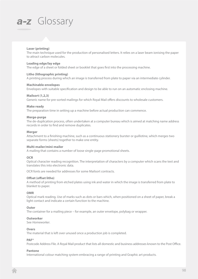## **Laser (printing)**

The main technique used for the production of personalised letters. It relies on a laser beam ionising the paper to attract carbon molecules.

## **Leading edge/lay edge**

The edge of a sheet or folded sheet or booklet that goes first into the processing machine.

## **Litho (lithographic printing)**

A printing process during which an image is transferred from plate to paper via an intermediate cylinder.

### **Machinable envelopes**

Envelopes with suitable specification and design to be able to run on an automatic enclosing machine.

## **Mailsort (1,2,3)**

Generic name for pre-sorted mailings for which Royal Mail offers discounts to wholesale customers.

## **Make ready**

The preparation time in setting up a machine before actual production can commence.

### **Merge-purge**

The de-duplication process, often undertaken at a computer bureau which is aimed at matching name address records in order to find and remove duplicates.

### **Merger**

Attachment to a finishing machine, such as a continuous stationery burster or guillotine, which merges two separate forms (sheets) together to make one entity.

## **Multi-mailer/mini-mailer**

A mailing that contains a number of loose single-page promotional sheets.

## **OCR**

Optical character reading recognition. The interpretation of characters by a computer which scans the text and translates this into electronic data.

OCR fonts are needed for addresses for some Mailsort contracts.

## **Offset (offset litho)**

A method of printing from etched plates using ink and water in which the image is transferred from plate to blanket to paper.

## **OMR**

Optical mark reading. Use of marks such as dots or bars which, when positioned on a sheet of paper, break a light contact and indicate a certain function to the machine.

## **Outer**

The container for a mailing piece – for example, an outer envelope, polybag or wrapper.

## **Outworker**

See *Homeworker*.

#### **Overs**

The material that is left over unused once a production job is completed.

## **PAF®**

Postcode Address File. A Royal Mail product that lists all domestic and business addresses known to the Post Office.

#### **Pantone**

International colour matching system embracing a range of printing and Graphic art products.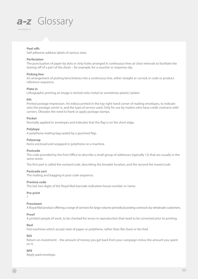## **Peel-offs**

Self adhesive address labels of various sizes.

### **Perforation**

The punctuation of paper by dots or strip holes arranged in continuous lines at close intervals to facilitate the tearing-off of a part of the sheet – for example, for a voucher or response slip.

### **Picking line**

An arrangement of picking bins/shelves into a continuous line, either straight or curved, in code or product reference sequence.

### **Plate in**

Lithographic printing an image is etched onto metal (or sometimes plastic) 'plates'.

### **PPI**

Printed postage impression. An indicia printed in the top right hand corner of mailing envelopes, to indicate who the postage carrier is, and the type of service used. Only for use by mailers who have credit contracts with carriers. Obviates the need to frank or apply postage stamps.

### **Pocket**

Normally applied to envelopes and indicates that the flap is on the short edge.

## **Polylope**

A polythene mailing bag sealed by a gummed flap.

### **Polywrap**

Items enclosed and wrapped in polythene on a machine.

#### **Postcode**

The code provided by the Post Office to describe a small group of addresses (typically 12) that are usually in the same street.

The first part is called the *outward code*, describing the broader location, and the second the *inward code.*

## **Postcode sort**

The mailing and bagging in post code sequence.

#### **Premise code**

The last two digits of the Royal Mail barcode indication house number or name.

#### **Pre-print**

?

## **Pressteam**

A Royal Mail product offering a range of services for large volume periodical posting contracts by wholesale customers.

## **Proof**

A printed sample of work, to be checked for errors in reproduction that need to be corrected prior to printing.

## **Reel**

Fed machines which accept reels of paper or polythene, rather than flat sheet or fan fold.

## **ROI**

Return on investment – the amount of money you get back from your campaign minus the amount you spent on it.

## **RPE**

Reply-paid envelope.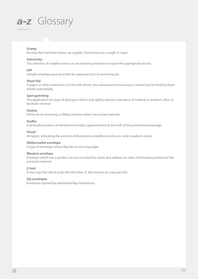## **Scamp**

An idea that had been drawn up roughly. Also known as a 'rough' or 'scats'.

### **Selectivity**

The selection of variable inserts on an enclosing machine to match the appropriate record.

## **SEP**

Sample envelope pack provided for approval prior to enclosing job.

### **Sheet fed**

If paper or other material is cut into flat sheets, the subsequent processing is carried out by feeding these sheets individually.

## **Spot gumming**

The application of a spot of glue/gum which only lightly attaches one piece of material to another, often to facilitate removal.

## **Station**

Points on an enclosing or filling machine which can accept material.

## **Stuffer**

A promotional piece of literature normally supplementary to the bulk of the promotional package.

### **Visual**

As layout, indicating the position of illustrations, headlines and so on, only usually in colour.

### **Wallet/wallet envelope**

A type of envelope whose flap lies on the long edge.

## **Window envelope**

Envelope which has a portion cut-out to reveal the name and address (or other information) printed on the enclosed material.

## **Z-fold**

A two-way fold which looks like the letter 'Z'. Also known as a zig-zag fold.

### **Zip envelopes**

Envelopes opened by perforated flap mechanism.